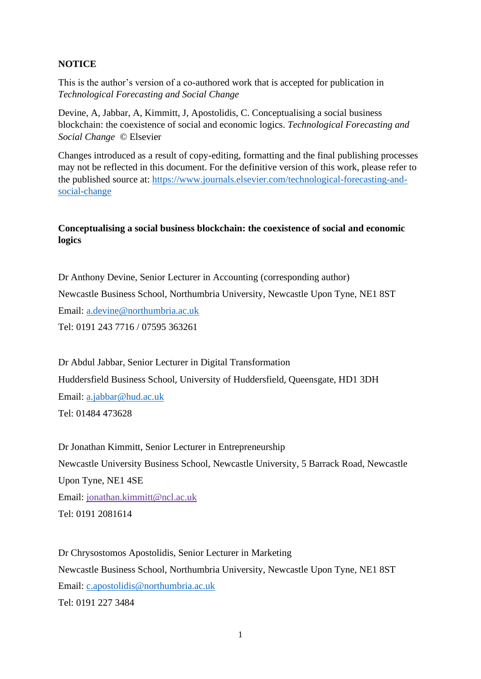# **NOTICE**

This is the author's version of a co-authored work that is accepted for publication in *Technological Forecasting and Social Change*

Devine, A, Jabbar, A, Kimmitt, J, Apostolidis, C. Conceptualising a social business blockchain: the coexistence of social and economic logics. *Technological Forecasting and Social Change* © Elsevier

Changes introduced as a result of copy-editing, formatting and the final publishing processes may not be reflected in this document. For the definitive version of this work, please refer to the published source at: [https://www.journals.elsevier.com/technological-forecasting-and](https://www.journals.elsevier.com/technological-forecasting-and-social-change)[social-change](https://www.journals.elsevier.com/technological-forecasting-and-social-change)

# **Conceptualising a social business blockchain: the coexistence of social and economic logics**

Dr Anthony Devine, Senior Lecturer in Accounting (corresponding author) Newcastle Business School, Northumbria University, Newcastle Upon Tyne, NE1 8ST Email: [a.devine@northumbria.ac.uk](mailto:a.devine@northumbria.ac.uk) Tel: 0191 243 7716 / 07595 363261

Dr Abdul Jabbar, Senior Lecturer in Digital Transformation Huddersfield Business School, University of Huddersfield, Queensgate, HD1 3DH Email: [a.jabbar@hud.ac.uk](mailto:a.jabbar@hud.ac.uk) Tel: 01484 473628

Dr Jonathan Kimmitt, Senior Lecturer in Entrepreneurship Newcastle University Business School, Newcastle University, 5 Barrack Road, Newcastle Upon Tyne, NE1 4SE Email: [jonathan.kimmitt@ncl.ac.uk](mailto:jonathan.kimmitt@ncl.ac.uk) Tel: 0191 2081614

Dr Chrysostomos Apostolidis, Senior Lecturer in Marketing Newcastle Business School, Northumbria University, Newcastle Upon Tyne, NE1 8ST Email: [c.apostolidis@northumbria.ac.uk](mailto:c.apostolidis@northumbria.ac.uk) Tel: 0191 227 3484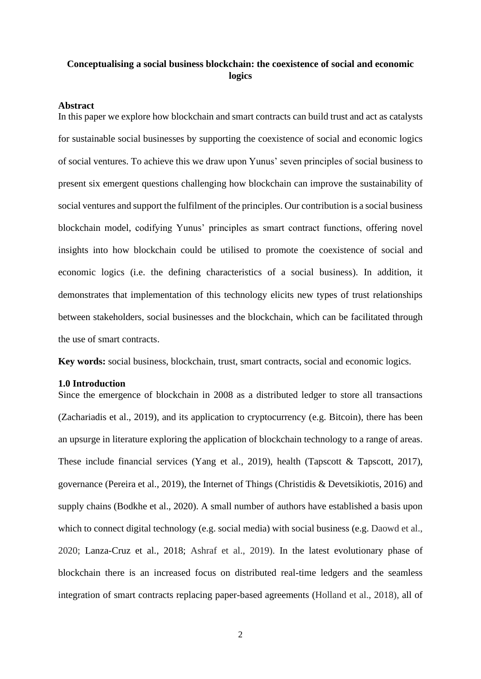# **Conceptualising a social business blockchain: the coexistence of social and economic logics**

### **Abstract**

In this paper we explore how blockchain and smart contracts can build trust and act as catalysts for sustainable social businesses by supporting the coexistence of social and economic logics of social ventures. To achieve this we draw upon Yunus' seven principles of social business to present six emergent questions challenging how blockchain can improve the sustainability of social ventures and support the fulfilment of the principles. Our contribution is a social business blockchain model, codifying Yunus' principles as smart contract functions, offering novel insights into how blockchain could be utilised to promote the coexistence of social and economic logics (i.e. the defining characteristics of a social business). In addition, it demonstrates that implementation of this technology elicits new types of trust relationships between stakeholders, social businesses and the blockchain, which can be facilitated through the use of smart contracts.

**Key words:** social business, blockchain, trust, smart contracts, social and economic logics.

### **1.0 Introduction**

Since the emergence of blockchain in 2008 as a distributed ledger to store all transactions (Zachariadis et al., 2019), and its application to cryptocurrency (e.g. Bitcoin), there has been an upsurge in literature exploring the application of blockchain technology to a range of areas. These include financial services (Yang et al., 2019), health (Tapscott & Tapscott, 2017), governance (Pereira et al., 2019), the Internet of Things (Christidis & Devetsikiotis, 2016) and supply chains (Bodkhe et al., 2020). A small number of authors have established a basis upon which to connect digital technology (e.g. social media) with social business (e.g. Daowd et al., 2020; Lanza-Cruz et al., 2018; Ashraf et al., 2019). In the latest evolutionary phase of blockchain there is an increased focus on distributed real-time ledgers and the seamless integration of smart contracts replacing paper-based agreements (Holland et al., 2018), all of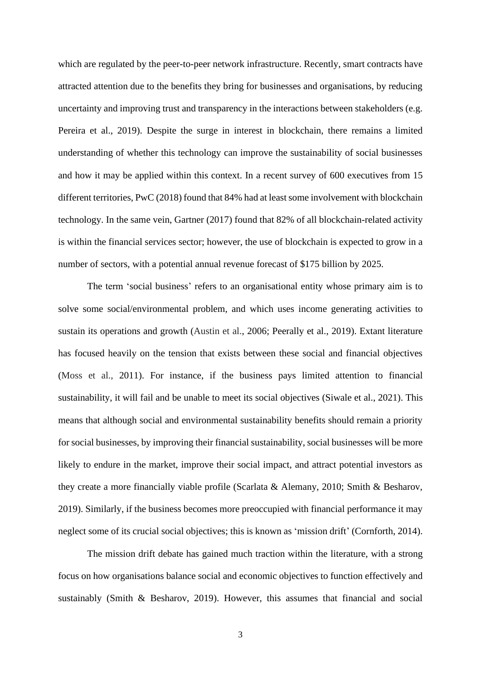which are regulated by the peer-to-peer network infrastructure. Recently, smart contracts have attracted attention due to the benefits they bring for businesses and organisations, by reducing uncertainty and improving trust and transparency in the interactions between stakeholders (e.g. Pereira et al., 2019). Despite the surge in interest in blockchain, there remains a limited understanding of whether this technology can improve the sustainability of social businesses and how it may be applied within this context. In a recent survey of 600 executives from 15 different territories, PwC (2018) found that 84% had at least some involvement with blockchain technology. In the same vein, Gartner (2017) found that 82% of all blockchain-related activity is within the financial services sector; however, the use of blockchain is expected to grow in a number of sectors, with a potential annual revenue forecast of \$175 billion by 2025.

The term 'social business' refers to an organisational entity whose primary aim is to solve some social/environmental problem, and which uses income generating activities to sustain its operations and growth (Austin et al., 2006; Peerally et al., 2019). Extant literature has focused heavily on the tension that exists between these social and financial objectives (Moss et al., 2011). For instance, if the business pays limited attention to financial sustainability, it will fail and be unable to meet its social objectives (Siwale et al., 2021). This means that although social and environmental sustainability benefits should remain a priority for social businesses, by improving their financial sustainability, social businesses will be more likely to endure in the market, improve their social impact, and attract potential investors as they create a more financially viable profile (Scarlata & Alemany, 2010; Smith & Besharov, 2019). Similarly, if the business becomes more preoccupied with financial performance it may neglect some of its crucial social objectives; this is known as 'mission drift' (Cornforth, 2014).

The mission drift debate has gained much traction within the literature, with a strong focus on how organisations balance social and economic objectives to function effectively and sustainably (Smith & Besharov, 2019). However, this assumes that financial and social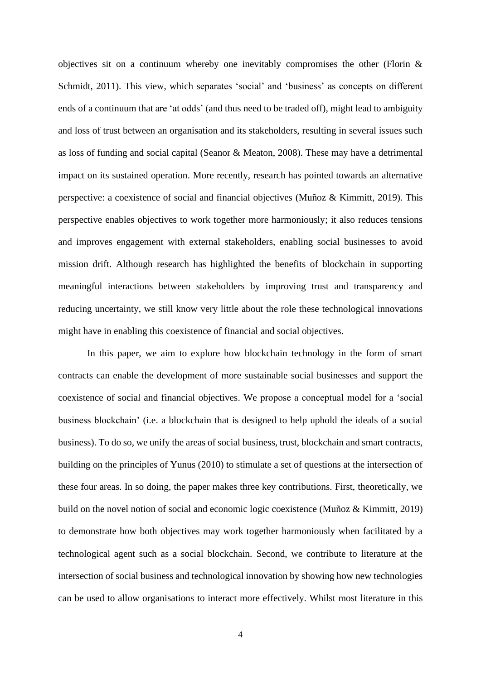objectives sit on a continuum whereby one inevitably compromises the other (Florin & Schmidt, 2011). This view, which separates 'social' and 'business' as concepts on different ends of a continuum that are 'at odds' (and thus need to be traded off), might lead to ambiguity and loss of trust between an organisation and its stakeholders, resulting in several issues such as loss of funding and social capital (Seanor & Meaton, 2008). These may have a detrimental impact on its sustained operation. More recently, research has pointed towards an alternative perspective: a coexistence of social and financial objectives (Muñoz & Kimmitt, 2019). This perspective enables objectives to work together more harmoniously; it also reduces tensions and improves engagement with external stakeholders, enabling social businesses to avoid mission drift. Although research has highlighted the benefits of blockchain in supporting meaningful interactions between stakeholders by improving trust and transparency and reducing uncertainty, we still know very little about the role these technological innovations might have in enabling this coexistence of financial and social objectives.

In this paper, we aim to explore how blockchain technology in the form of smart contracts can enable the development of more sustainable social businesses and support the coexistence of social and financial objectives. We propose a conceptual model for a 'social business blockchain' (i.e. a blockchain that is designed to help uphold the ideals of a social business). To do so, we unify the areas of social business, trust, blockchain and smart contracts, building on the principles of Yunus (2010) to stimulate a set of questions at the intersection of these four areas. In so doing, the paper makes three key contributions. First, theoretically, we build on the novel notion of social and economic logic coexistence (Muñoz & Kimmitt, 2019) to demonstrate how both objectives may work together harmoniously when facilitated by a technological agent such as a social blockchain. Second, we contribute to literature at the intersection of social business and technological innovation by showing how new technologies can be used to allow organisations to interact more effectively. Whilst most literature in this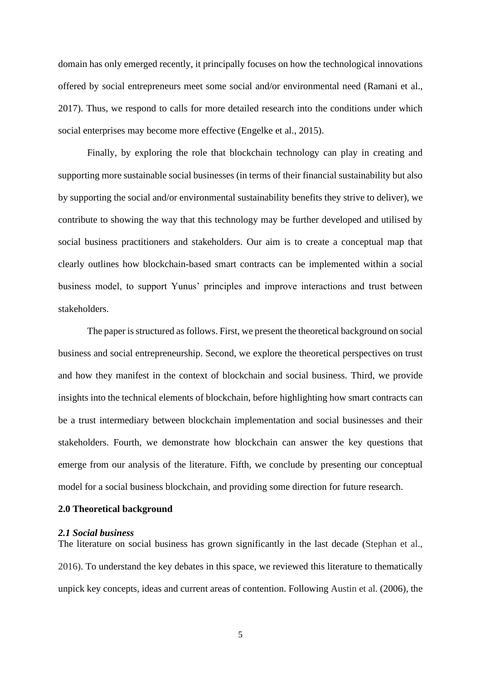domain has only emerged recently, it principally focuses on how the technological innovations offered by social entrepreneurs meet some social and/or environmental need (Ramani et al., 2017). Thus, we respond to calls for more detailed research into the conditions under which social enterprises may become more effective (Engelke et al., 2015).

Finally, by exploring the role that blockchain technology can play in creating and supporting more sustainable social businesses (in terms of their financial sustainability but also by supporting the social and/or environmental sustainability benefits they strive to deliver), we contribute to showing the way that this technology may be further developed and utilised by social business practitioners and stakeholders. Our aim is to create a conceptual map that clearly outlines how blockchain-based smart contracts can be implemented within a social business model, to support Yunus' principles and improve interactions and trust between stakeholders.

The paper is structured as follows. First, we present the theoretical background on social business and social entrepreneurship. Second, we explore the theoretical perspectives on trust and how they manifest in the context of blockchain and social business. Third, we provide insights into the technical elements of blockchain, before highlighting how smart contracts can be a trust intermediary between blockchain implementation and social businesses and their stakeholders. Fourth, we demonstrate how blockchain can answer the key questions that emerge from our analysis of the literature. Fifth, we conclude by presenting our conceptual model for a social business blockchain, and providing some direction for future research.

### **2.0 Theoretical background**

### *2.1 Social business*

The literature on social business has grown significantly in the last decade (Stephan et al., 2016). To understand the key debates in this space, we reviewed this literature to thematically unpick key concepts, ideas and current areas of contention. Following Austin et al. (2006), the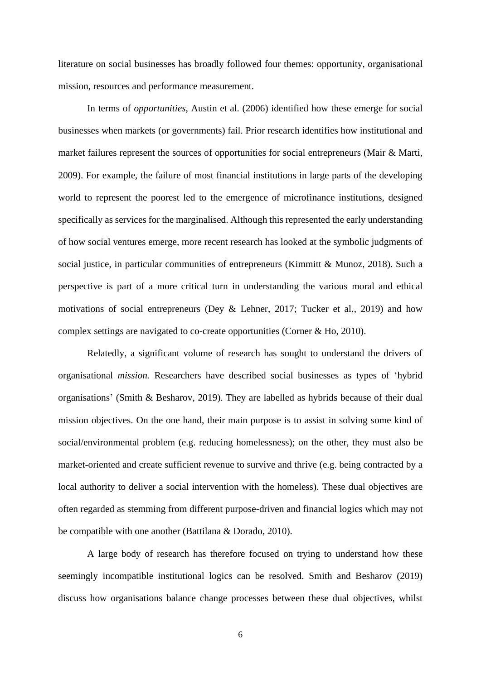literature on social businesses has broadly followed four themes: opportunity, organisational mission, resources and performance measurement.

In terms of *opportunities*, Austin et al. (2006) identified how these emerge for social businesses when markets (or governments) fail. Prior research identifies how institutional and market failures represent the sources of opportunities for social entrepreneurs (Mair & Marti, 2009). For example, the failure of most financial institutions in large parts of the developing world to represent the poorest led to the emergence of microfinance institutions, designed specifically as services for the marginalised. Although this represented the early understanding of how social ventures emerge, more recent research has looked at the symbolic judgments of social justice, in particular communities of entrepreneurs (Kimmitt & Munoz, 2018). Such a perspective is part of a more critical turn in understanding the various moral and ethical motivations of social entrepreneurs (Dey & Lehner, 2017; Tucker et al., 2019) and how complex settings are navigated to co-create opportunities (Corner & Ho, 2010).

Relatedly, a significant volume of research has sought to understand the drivers of organisational *mission.* Researchers have described social businesses as types of 'hybrid organisations' (Smith & Besharov, 2019). They are labelled as hybrids because of their dual mission objectives. On the one hand, their main purpose is to assist in solving some kind of social/environmental problem (e.g. reducing homelessness); on the other, they must also be market-oriented and create sufficient revenue to survive and thrive (e.g. being contracted by a local authority to deliver a social intervention with the homeless). These dual objectives are often regarded as stemming from different purpose-driven and financial logics which may not be compatible with one another (Battilana & Dorado, 2010).

A large body of research has therefore focused on trying to understand how these seemingly incompatible institutional logics can be resolved. Smith and Besharov (2019) discuss how organisations balance change processes between these dual objectives, whilst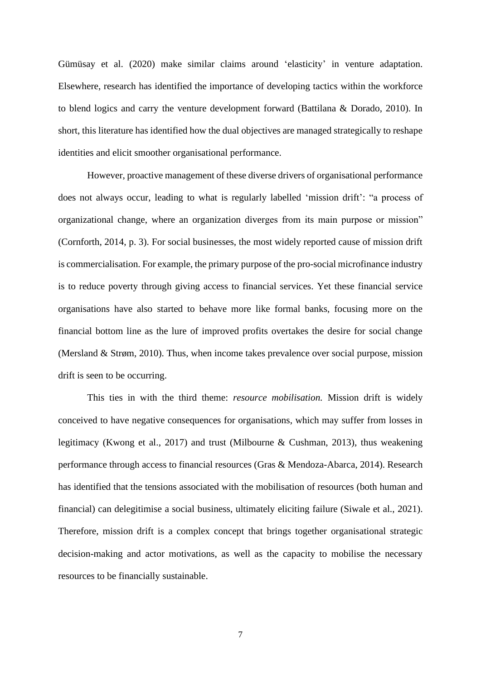Gümüsay et al. (2020) make similar claims around 'elasticity' in venture adaptation. Elsewhere, research has identified the importance of developing tactics within the workforce to blend logics and carry the venture development forward (Battilana & Dorado, 2010). In short, this literature has identified how the dual objectives are managed strategically to reshape identities and elicit smoother organisational performance.

However, proactive management of these diverse drivers of organisational performance does not always occur, leading to what is regularly labelled 'mission drift': "a process of organizational change, where an organization diverges from its main purpose or mission" (Cornforth, 2014, p. 3). For social businesses, the most widely reported cause of mission drift is commercialisation. For example, the primary purpose of the pro-social microfinance industry is to reduce poverty through giving access to financial services. Yet these financial service organisations have also started to behave more like formal banks, focusing more on the financial bottom line as the lure of improved profits overtakes the desire for social change (Mersland & Strøm, 2010). Thus, when income takes prevalence over social purpose, mission drift is seen to be occurring.

This ties in with the third theme: *resource mobilisation.* Mission drift is widely conceived to have negative consequences for organisations, which may suffer from losses in legitimacy (Kwong et al., 2017) and trust (Milbourne & Cushman, 2013), thus weakening performance through access to financial resources (Gras & Mendoza-Abarca, 2014). Research has identified that the tensions associated with the mobilisation of resources (both human and financial) can delegitimise a social business, ultimately eliciting failure (Siwale et al., 2021). Therefore, mission drift is a complex concept that brings together organisational strategic decision-making and actor motivations, as well as the capacity to mobilise the necessary resources to be financially sustainable.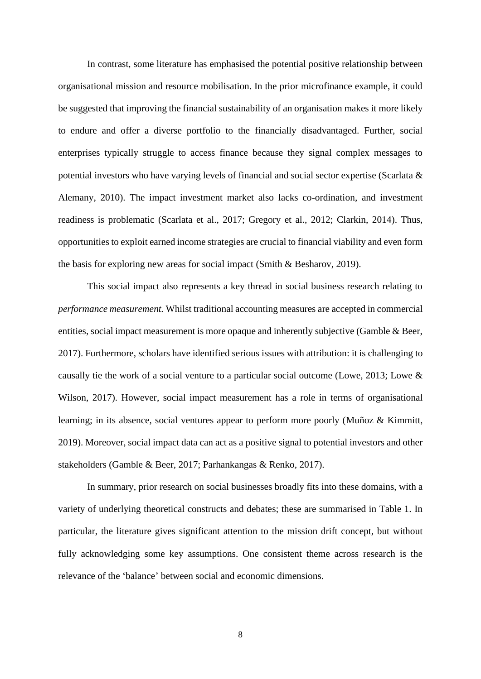In contrast, some literature has emphasised the potential positive relationship between organisational mission and resource mobilisation. In the prior microfinance example, it could be suggested that improving the financial sustainability of an organisation makes it more likely to endure and offer a diverse portfolio to the financially disadvantaged. Further, social enterprises typically struggle to access finance because they signal complex messages to potential investors who have varying levels of financial and social sector expertise (Scarlata & Alemany, 2010). The impact investment market also lacks co-ordination, and investment readiness is problematic (Scarlata et al., 2017; Gregory et al., 2012; Clarkin, 2014). Thus, opportunities to exploit earned income strategies are crucial to financial viability and even form the basis for exploring new areas for social impact (Smith & Besharov, 2019).

This social impact also represents a key thread in social business research relating to *performance measurement.* Whilst traditional accounting measures are accepted in commercial entities, social impact measurement is more opaque and inherently subjective (Gamble & Beer, 2017). Furthermore, scholars have identified serious issues with attribution: it is challenging to causally tie the work of a social venture to a particular social outcome (Lowe, 2013; Lowe & Wilson, 2017). However, social impact measurement has a role in terms of organisational learning; in its absence, social ventures appear to perform more poorly (Muñoz & Kimmitt, 2019). Moreover, social impact data can act as a positive signal to potential investors and other stakeholders (Gamble & Beer, 2017; Parhankangas & Renko, 2017).

In summary, prior research on social businesses broadly fits into these domains, with a variety of underlying theoretical constructs and debates; these are summarised in Table 1. In particular, the literature gives significant attention to the mission drift concept, but without fully acknowledging some key assumptions. One consistent theme across research is the relevance of the 'balance' between social and economic dimensions.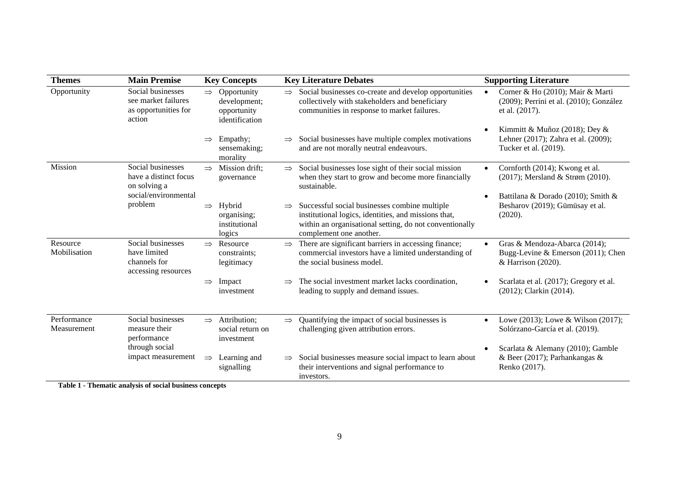| <b>Themes</b>              | <b>Main Premise</b>                                                        |               | <b>Key Concepts</b>                                            |               | <b>Key Literature Debates</b>                                                                                                                                                               |           | <b>Supporting Literature</b>                                                                               |
|----------------------------|----------------------------------------------------------------------------|---------------|----------------------------------------------------------------|---------------|---------------------------------------------------------------------------------------------------------------------------------------------------------------------------------------------|-----------|------------------------------------------------------------------------------------------------------------|
| Opportunity                | Social businesses<br>see market failures<br>as opportunities for<br>action | $\Rightarrow$ | Opportunity<br>development;<br>opportunity<br>identification   | $\Rightarrow$ | Social businesses co-create and develop opportunities<br>collectively with stakeholders and beneficiary<br>communities in response to market failures.                                      |           | Corner & Ho (2010); Mair & Marti<br>(2009); Perrini et al. (2010); González<br>et al. (2017).              |
|                            |                                                                            | $\Rightarrow$ | Empathy;<br>sensemaking;<br>morality                           |               | Social businesses have multiple complex motivations<br>and are not morally neutral endeavours.                                                                                              |           | Kimmitt & Muñoz (2018); Dey &<br>Lehner (2017); Zahra et al. (2009);<br>Tucker et al. (2019).              |
| Mission                    | Social businesses<br>have a distinct focus<br>on solving a                 | $\Rightarrow$ | Mission drift;<br>governance                                   | $\Rightarrow$ | Social businesses lose sight of their social mission<br>when they start to grow and become more financially<br>sustainable.                                                                 |           | Cornforth (2014); Kwong et al.<br>(2017); Mersland & Strøm (2010).                                         |
|                            | social/environmental<br>problem                                            |               | $\Rightarrow$ Hybrid<br>organising;<br>institutional<br>logics | $\Rightarrow$ | Successful social businesses combine multiple<br>institutional logics, identities, and missions that,<br>within an organisational setting, do not conventionally<br>complement one another. |           | Battilana & Dorado (2010); Smith &<br>Besharov (2019); Gümüsay et al.<br>(2020).                           |
| Resource<br>Mobilisation   | Social businesses<br>have limited<br>channels for<br>accessing resources   | $\Rightarrow$ | Resource<br>constraints;<br>legitimacy                         | $\Rightarrow$ | There are significant barriers in accessing finance;<br>commercial investors have a limited understanding of<br>the social business model.                                                  | $\bullet$ | Gras & Mendoza-Abarca (2014);<br>Bugg-Levine & Emerson (2011); Chen<br>& Harrison (2020).                  |
|                            |                                                                            | $\Rightarrow$ | Impact<br>investment                                           | $\Rightarrow$ | The social investment market lacks coordination,<br>leading to supply and demand issues.                                                                                                    |           | Scarlata et al. (2017); Gregory et al.<br>(2012); Clarkin (2014).                                          |
| Performance<br>Measurement | Social businesses<br>measure their<br>performance<br>through social        |               | $\Rightarrow$ Attribution;<br>social return on<br>investment   | $\Rightarrow$ | Quantifying the impact of social businesses is<br>challenging given attribution errors.                                                                                                     |           | Lowe (2013); Lowe & Wilson (2017);<br>Solórzano-García et al. (2019).<br>Scarlata & Alemany (2010); Gamble |
|                            | impact measurement                                                         | $\Rightarrow$ | Learning and<br>signalling                                     | $\Rightarrow$ | Social businesses measure social impact to learn about<br>their interventions and signal performance to<br>investors.                                                                       |           | & Beer (2017); Parhankangas &<br>Renko (2017).                                                             |

**Table 1 - Thematic analysis of social business concepts**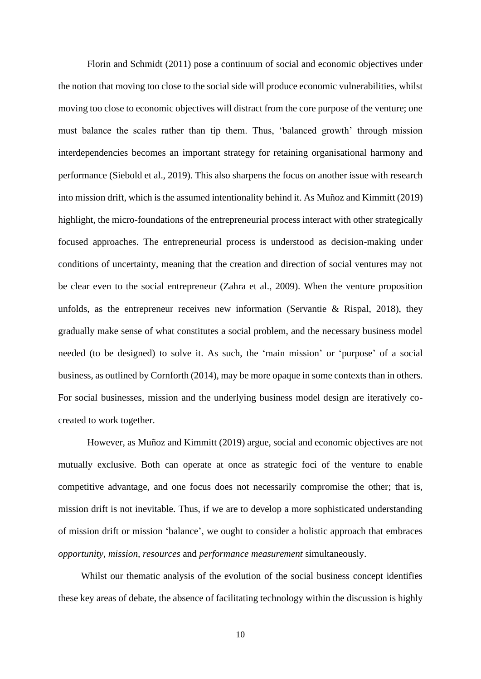Florin and Schmidt (2011) pose a continuum of social and economic objectives under the notion that moving too close to the social side will produce economic vulnerabilities, whilst moving too close to economic objectives will distract from the core purpose of the venture; one must balance the scales rather than tip them. Thus, 'balanced growth' through mission interdependencies becomes an important strategy for retaining organisational harmony and performance (Siebold et al., 2019). This also sharpens the focus on another issue with research into mission drift, which is the assumed intentionality behind it. As Muñoz and Kimmitt (2019) highlight, the micro-foundations of the entrepreneurial process interact with other strategically focused approaches. The entrepreneurial process is understood as decision-making under conditions of uncertainty, meaning that the creation and direction of social ventures may not be clear even to the social entrepreneur (Zahra et al., 2009). When the venture proposition unfolds, as the entrepreneur receives new information (Servantie & Rispal, 2018), they gradually make sense of what constitutes a social problem, and the necessary business model needed (to be designed) to solve it. As such, the 'main mission' or 'purpose' of a social business, as outlined by Cornforth (2014), may be more opaque in some contexts than in others. For social businesses, mission and the underlying business model design are iteratively cocreated to work together.

However, as Muñoz and Kimmitt (2019) argue, social and economic objectives are not mutually exclusive. Both can operate at once as strategic foci of the venture to enable competitive advantage, and one focus does not necessarily compromise the other; that is, mission drift is not inevitable. Thus, if we are to develop a more sophisticated understanding of mission drift or mission 'balance', we ought to consider a holistic approach that embraces *opportunity, mission, resources* and *performance measurement* simultaneously.

Whilst our thematic analysis of the evolution of the social business concept identifies these key areas of debate, the absence of facilitating technology within the discussion is highly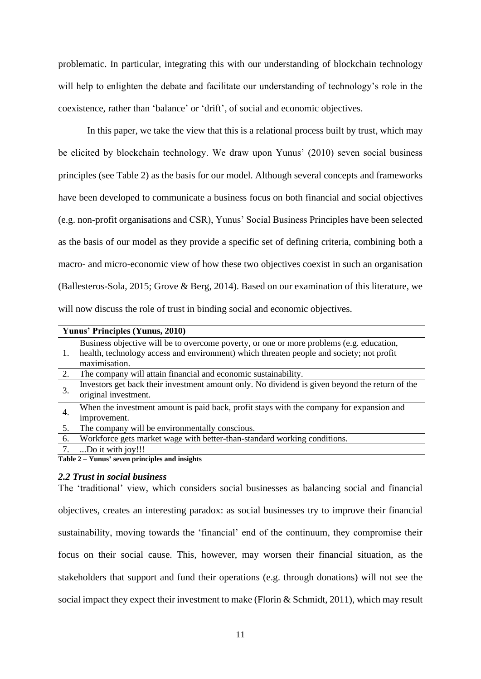problematic. In particular, integrating this with our understanding of blockchain technology will help to enlighten the debate and facilitate our understanding of technology's role in the coexistence, rather than 'balance' or 'drift', of social and economic objectives.

In this paper, we take the view that this is a relational process built by trust, which may be elicited by blockchain technology. We draw upon Yunus' (2010) seven social business principles (see [Table 2\)](#page-10-0) as the basis for our model. Although several concepts and frameworks have been developed to communicate a business focus on both financial and social objectives (e.g. non-profit organisations and CSR), Yunus' Social Business Principles have been selected as the basis of our model as they provide a specific set of defining criteria, combining both a macro- and micro-economic view of how these two objectives coexist in such an organisation (Ballesteros-Sola, 2015; Grove & Berg, 2014). Based on our examination of this literature, we will now discuss the role of trust in binding social and economic objectives.

|    | Yunus' Principles (Yunus, 2010)                                                                |  |  |
|----|------------------------------------------------------------------------------------------------|--|--|
|    | Business objective will be to overcome poverty, or one or more problems (e.g. education,       |  |  |
|    | health, technology access and environment) which threaten people and society; not profit       |  |  |
|    | maximisation.                                                                                  |  |  |
| 2. | The company will attain financial and economic sustainability.                                 |  |  |
| 3. | Investors get back their investment amount only. No dividend is given beyond the return of the |  |  |
|    | original investment.                                                                           |  |  |
| 4. | When the investment amount is paid back, profit stays with the company for expansion and       |  |  |
|    | improvement.                                                                                   |  |  |
| 5. | The company will be environmentally conscious.                                                 |  |  |
| 6. | Workforce gets market wage with better-than-standard working conditions.                       |  |  |
| 7. | Do it with joy!!!                                                                              |  |  |
|    | Toble 2. Vunua <sup>2</sup> caven principles and insights                                      |  |  |

<span id="page-10-0"></span>**Table 2 – Yunus' seven principles and insights**

### *2.2 Trust in social business*

The 'traditional' view, which considers social businesses as balancing social and financial objectives, creates an interesting paradox: as social businesses try to improve their financial sustainability, moving towards the 'financial' end of the continuum, they compromise their focus on their social cause. This, however, may worsen their financial situation, as the stakeholders that support and fund their operations (e.g. through donations) will not see the social impact they expect their investment to make (Florin & Schmidt, 2011), which may result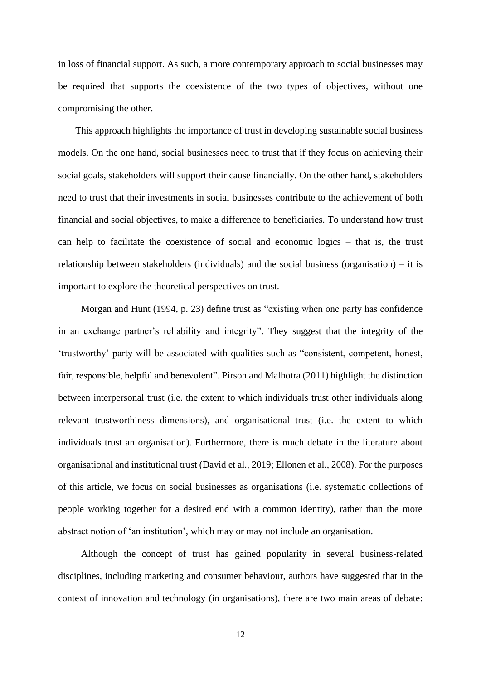in loss of financial support. As such, a more contemporary approach to social businesses may be required that supports the coexistence of the two types of objectives, without one compromising the other.

This approach highlights the importance of trust in developing sustainable social business models. On the one hand, social businesses need to trust that if they focus on achieving their social goals, stakeholders will support their cause financially. On the other hand, stakeholders need to trust that their investments in social businesses contribute to the achievement of both financial and social objectives, to make a difference to beneficiaries. To understand how trust can help to facilitate the coexistence of social and economic logics – that is, the trust relationship between stakeholders (individuals) and the social business (organisation) – it is important to explore the theoretical perspectives on trust.

Morgan and Hunt (1994, p. 23) define trust as "existing when one party has confidence in an exchange partner's reliability and integrity". They suggest that the integrity of the 'trustworthy' party will be associated with qualities such as "consistent, competent, honest, fair, responsible, helpful and benevolent". Pirson and Malhotra (2011) highlight the distinction between interpersonal trust (i.e. the extent to which individuals trust other individuals along relevant trustworthiness dimensions), and organisational trust (i.e. the extent to which individuals trust an organisation). Furthermore, there is much debate in the literature about organisational and institutional trust (David et al., 2019; Ellonen et al., 2008). For the purposes of this article, we focus on social businesses as organisations (i.e. systematic collections of people working together for a desired end with a common identity), rather than the more abstract notion of 'an institution', which may or may not include an organisation.

Although the concept of trust has gained popularity in several business-related disciplines, including marketing and consumer behaviour, authors have suggested that in the context of innovation and technology (in organisations), there are two main areas of debate:

12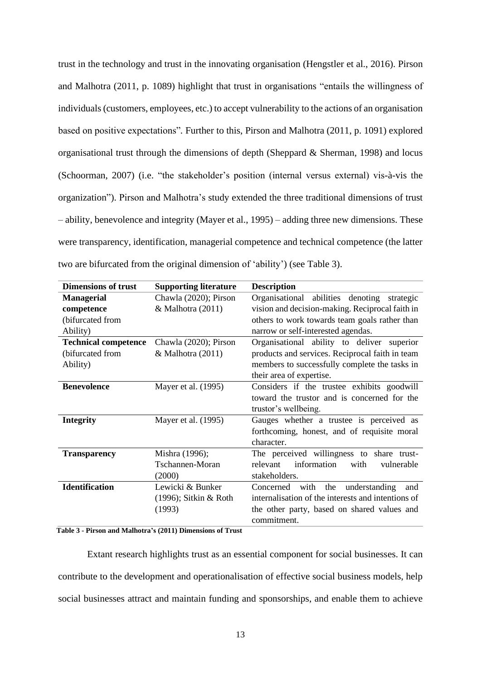trust in the technology and trust in the innovating organisation (Hengstler et al., 2016). Pirson and Malhotra (2011, p. 1089) highlight that trust in organisations "entails the willingness of individuals (customers, employees, etc.) to accept vulnerability to the actions of an organisation based on positive expectations"*.* Further to this, Pirson and Malhotra (2011, p. 1091) explored organisational trust through the dimensions of depth (Sheppard & Sherman, 1998) and locus (Schoorman, 2007) (i.e. "the stakeholder's position (internal versus external) vis-à-vis the organization"). Pirson and Malhotra's study extended the three traditional dimensions of trust – ability, benevolence and integrity (Mayer et al., 1995) – adding three new dimensions. These were transparency, identification, managerial competence and technical competence (the latter two are bifurcated from the original dimension of 'ability') (see [Table 3\)](#page-12-0).

| <b>Dimensions of trust</b>  | <b>Supporting literature</b> | <b>Description</b>                                 |
|-----------------------------|------------------------------|----------------------------------------------------|
| <b>Managerial</b>           | Chawla (2020); Pirson        | Organisational abilities denoting<br>strategic     |
| competence                  | & Malhotra (2011)            | vision and decision-making. Reciprocal faith in    |
| (bifurcated from            |                              | others to work towards team goals rather than      |
| Ability)                    |                              | narrow or self-interested agendas.                 |
| <b>Technical competence</b> | Chawla (2020); Pirson        | Organisational ability to deliver superior         |
| (bifurcated from            | $&$ Malhotra (2011)          | products and services. Reciprocal faith in team    |
| Ability)                    |                              | members to successfully complete the tasks in      |
|                             |                              | their area of expertise.                           |
| <b>Benevolence</b>          | Mayer et al. (1995)          | Considers if the trustee exhibits goodwill         |
|                             |                              | toward the trustor and is concerned for the        |
|                             |                              | trustor's wellbeing.                               |
| <b>Integrity</b>            | Mayer et al. (1995)          | Gauges whether a trustee is perceived as           |
|                             |                              | forthcoming, honest, and of requisite moral        |
|                             |                              | character.                                         |
| <b>Transparency</b>         | Mishra (1996);               | The perceived willingness to share trust-          |
|                             | Tschannen-Moran              | information<br>relevant<br>with<br>vulnerable      |
|                             | (2000)                       | stakeholders.                                      |
| <b>Identification</b>       | Lewicki & Bunker             | Concerned<br>with the understanding<br>and         |
|                             | $(1996)$ ; Sitkin & Roth     | internalisation of the interests and intentions of |
|                             | (1993)                       | the other party, based on shared values and        |
|                             |                              | commitment.                                        |

#### <span id="page-12-0"></span>**Table 3 - Pirson and Malhotra's (2011) Dimensions of Trust**

Extant research highlights trust as an essential component for social businesses. It can contribute to the development and operationalisation of effective social business models, help social businesses attract and maintain funding and sponsorships, and enable them to achieve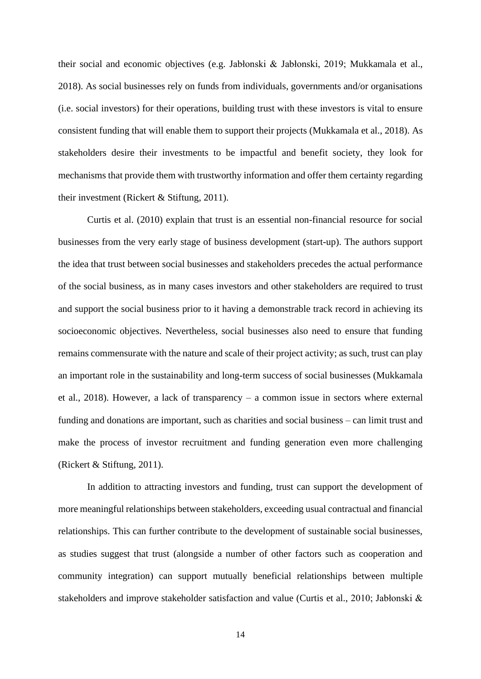their social and economic objectives (e.g. Jabłonski & Jabłonski, 2019; Mukkamala et al., 2018). As social businesses rely on funds from individuals, governments and/or organisations (i.e. social investors) for their operations, building trust with these investors is vital to ensure consistent funding that will enable them to support their projects (Mukkamala et al., 2018). As stakeholders desire their investments to be impactful and benefit society, they look for mechanisms that provide them with trustworthy information and offer them certainty regarding their investment (Rickert & Stiftung, 2011).

Curtis et al. (2010) explain that trust is an essential non-financial resource for social businesses from the very early stage of business development (start-up). The authors support the idea that trust between social businesses and stakeholders precedes the actual performance of the social business, as in many cases investors and other stakeholders are required to trust and support the social business prior to it having a demonstrable track record in achieving its socioeconomic objectives. Nevertheless, social businesses also need to ensure that funding remains commensurate with the nature and scale of their project activity; as such, trust can play an important role in the sustainability and long-term success of social businesses (Mukkamala et al., 2018). However, a lack of transparency – a common issue in sectors where external funding and donations are important, such as charities and social business – can limit trust and make the process of investor recruitment and funding generation even more challenging (Rickert & Stiftung, 2011).

In addition to attracting investors and funding, trust can support the development of more meaningful relationships between stakeholders, exceeding usual contractual and financial relationships. This can further contribute to the development of sustainable social businesses, as studies suggest that trust (alongside a number of other factors such as cooperation and community integration) can support mutually beneficial relationships between multiple stakeholders and improve stakeholder satisfaction and value (Curtis et al., 2010; Jabłonski &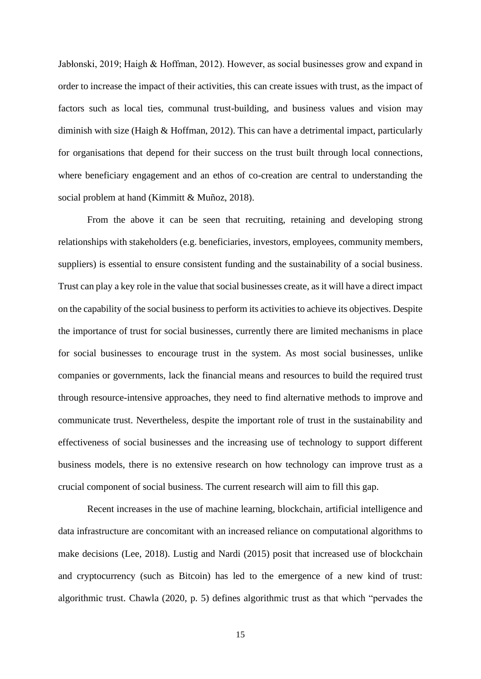Jabłonski, 2019; Haigh & Hoffman, 2012). However, as social businesses grow and expand in order to increase the impact of their activities, this can create issues with trust, as the impact of factors such as local ties, communal trust-building, and business values and vision may diminish with size (Haigh & Hoffman, 2012). This can have a detrimental impact, particularly for organisations that depend for their success on the trust built through local connections, where beneficiary engagement and an ethos of co-creation are central to understanding the social problem at hand (Kimmitt & Muñoz, 2018).

From the above it can be seen that recruiting, retaining and developing strong relationships with stakeholders (e.g. beneficiaries, investors, employees, community members, suppliers) is essential to ensure consistent funding and the sustainability of a social business. Trust can play a key role in the value that social businesses create, as it will have a direct impact on the capability of the social business to perform its activities to achieve its objectives. Despite the importance of trust for social businesses, currently there are limited mechanisms in place for social businesses to encourage trust in the system. As most social businesses, unlike companies or governments, lack the financial means and resources to build the required trust through resource-intensive approaches, they need to find alternative methods to improve and communicate trust. Nevertheless, despite the important role of trust in the sustainability and effectiveness of social businesses and the increasing use of technology to support different business models, there is no extensive research on how technology can improve trust as a crucial component of social business. The current research will aim to fill this gap.

Recent increases in the use of machine learning, blockchain, artificial intelligence and data infrastructure are concomitant with an increased reliance on computational algorithms to make decisions (Lee, 2018). Lustig and Nardi (2015) posit that increased use of blockchain and cryptocurrency (such as Bitcoin) has led to the emergence of a new kind of trust: algorithmic trust. Chawla (2020, p. 5) defines algorithmic trust as that which "pervades the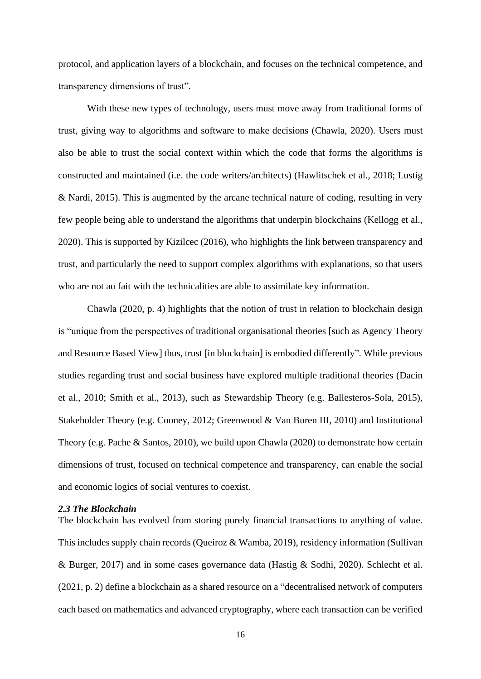protocol, and application layers of a blockchain, and focuses on the technical competence, and transparency dimensions of trust"*.*

With these new types of technology, users must move away from traditional forms of trust, giving way to algorithms and software to make decisions (Chawla, 2020). Users must also be able to trust the social context within which the code that forms the algorithms is constructed and maintained (i.e. the code writers/architects) (Hawlitschek et al., 2018; Lustig & Nardi, 2015). This is augmented by the arcane technical nature of coding, resulting in very few people being able to understand the algorithms that underpin blockchains (Kellogg et al., 2020). This is supported by Kizilcec (2016), who highlights the link between transparency and trust, and particularly the need to support complex algorithms with explanations, so that users who are not au fait with the technicalities are able to assimilate key information.

Chawla (2020, p. 4) highlights that the notion of trust in relation to blockchain design is "unique from the perspectives of traditional organisational theories [such as Agency Theory and Resource Based View] thus, trust [in blockchain] is embodied differently"*.* While previous studies regarding trust and social business have explored multiple traditional theories (Dacin et al., 2010; Smith et al., 2013), such as Stewardship Theory (e.g. Ballesteros-Sola, 2015), Stakeholder Theory (e.g. Cooney, 2012; Greenwood & Van Buren III, 2010) and Institutional Theory (e.g. Pache & Santos, 2010), we build upon Chawla (2020) to demonstrate how certain dimensions of trust, focused on technical competence and transparency, can enable the social and economic logics of social ventures to coexist.

### *2.3 The Blockchain*

The blockchain has evolved from storing purely financial transactions to anything of value. This includes supply chain records (Queiroz & Wamba, 2019), residency information (Sullivan & Burger, 2017) and in some cases governance data (Hastig & Sodhi, 2020). Schlecht et al. (2021, p. 2) define a blockchain as a shared resource on a "decentralised network of computers each based on mathematics and advanced cryptography, where each transaction can be verified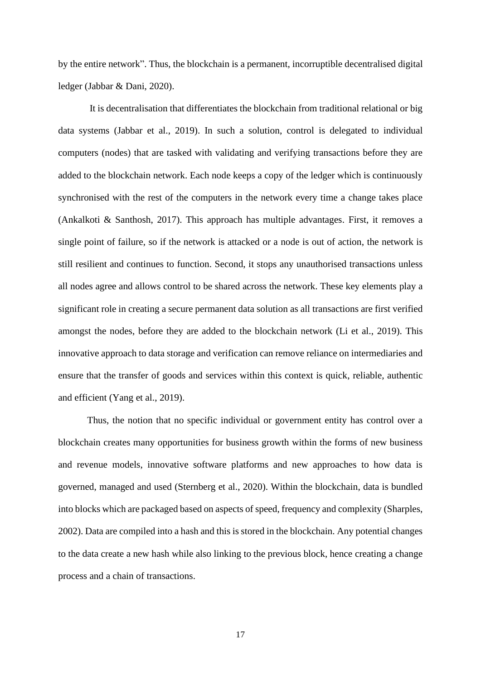by the entire network". Thus, the blockchain is a permanent, incorruptible decentralised digital ledger (Jabbar & Dani, 2020).

It is decentralisation that differentiates the blockchain from traditional relational or big data systems (Jabbar et al., 2019). In such a solution, control is delegated to individual computers (nodes) that are tasked with validating and verifying transactions before they are added to the blockchain network. Each node keeps a copy of the ledger which is continuously synchronised with the rest of the computers in the network every time a change takes place (Ankalkoti & Santhosh, 2017). This approach has multiple advantages. First, it removes a single point of failure, so if the network is attacked or a node is out of action, the network is still resilient and continues to function. Second, it stops any unauthorised transactions unless all nodes agree and allows control to be shared across the network. These key elements play a significant role in creating a secure permanent data solution as all transactions are first verified amongst the nodes, before they are added to the blockchain network (Li et al., 2019). This innovative approach to data storage and verification can remove reliance on intermediaries and ensure that the transfer of goods and services within this context is quick, reliable, authentic and efficient (Yang et al., 2019).

Thus, the notion that no specific individual or government entity has control over a blockchain creates many opportunities for business growth within the forms of new business and revenue models, innovative software platforms and new approaches to how data is governed, managed and used (Sternberg et al., 2020). Within the blockchain, data is bundled into blocks which are packaged based on aspects of speed, frequency and complexity (Sharples, 2002). Data are compiled into a hash and this is stored in the blockchain. Any potential changes to the data create a new hash while also linking to the previous block, hence creating a change process and a chain of transactions.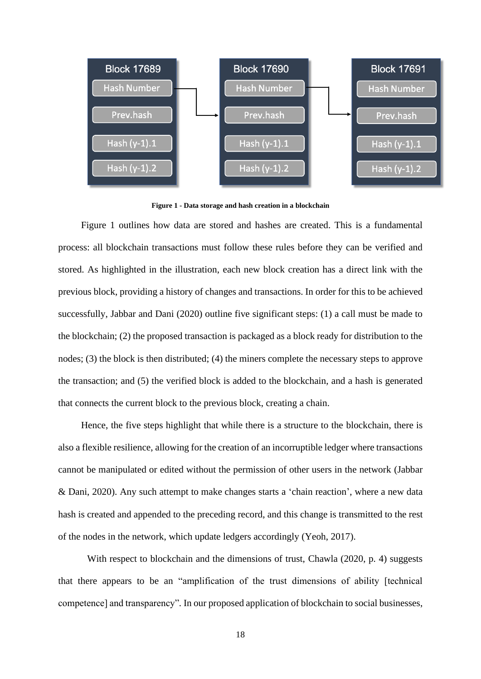

**Figure 1 - Data storage and hash creation in a blockchain**

<span id="page-17-0"></span>[Figure 1](#page-17-0) outlines how data are stored and hashes are created. This is a fundamental process: all blockchain transactions must follow these rules before they can be verified and stored. As highlighted in the illustration, each new block creation has a direct link with the previous block, providing a history of changes and transactions. In order for this to be achieved successfully, Jabbar and Dani (2020) outline five significant steps: (1) a call must be made to the blockchain; (2) the proposed transaction is packaged as a block ready for distribution to the nodes; (3) the block is then distributed; (4) the miners complete the necessary steps to approve the transaction; and (5) the verified block is added to the blockchain, and a hash is generated that connects the current block to the previous block, creating a chain.

Hence, the five steps highlight that while there is a structure to the blockchain, there is also a flexible resilience, allowing for the creation of an incorruptible ledger where transactions cannot be manipulated or edited without the permission of other users in the network (Jabbar & Dani, 2020). Any such attempt to make changes starts a 'chain reaction', where a new data hash is created and appended to the preceding record, and this change is transmitted to the rest of the nodes in the network, which update ledgers accordingly (Yeoh, 2017).

With respect to blockchain and the dimensions of trust, Chawla (2020, p. 4) suggests that there appears to be an "amplification of the trust dimensions of ability [technical competence] and transparency"*.* In our proposed application of blockchain to social businesses,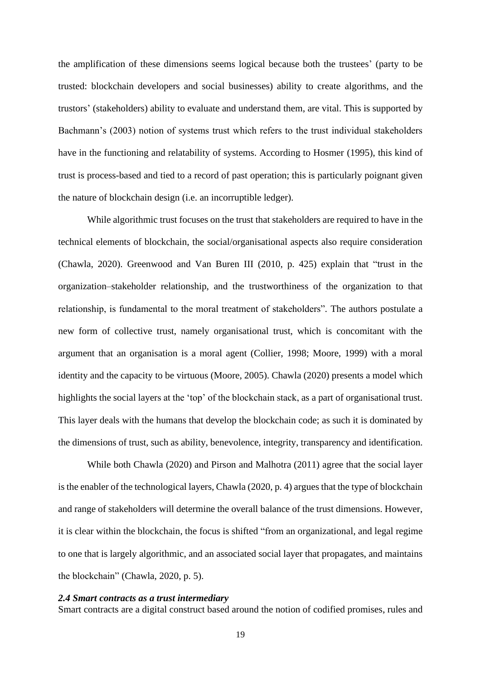the amplification of these dimensions seems logical because both the trustees' (party to be trusted: blockchain developers and social businesses) ability to create algorithms, and the trustors' (stakeholders) ability to evaluate and understand them, are vital. This is supported by Bachmann's (2003) notion of systems trust which refers to the trust individual stakeholders have in the functioning and relatability of systems. According to Hosmer (1995), this kind of trust is process-based and tied to a record of past operation; this is particularly poignant given the nature of blockchain design (i.e. an incorruptible ledger).

While algorithmic trust focuses on the trust that stakeholders are required to have in the technical elements of blockchain, the social/organisational aspects also require consideration (Chawla, 2020). Greenwood and Van Buren III (2010, p. 425) explain that "trust in the organization–stakeholder relationship, and the trustworthiness of the organization to that relationship, is fundamental to the moral treatment of stakeholders"*.* The authors postulate a new form of collective trust, namely organisational trust, which is concomitant with the argument that an organisation is a moral agent (Collier, 1998; Moore, 1999) with a moral identity and the capacity to be virtuous (Moore, 2005). Chawla (2020) presents a model which highlights the social layers at the 'top' of the blockchain stack, as a part of organisational trust. This layer deals with the humans that develop the blockchain code; as such it is dominated by the dimensions of trust, such as ability, benevolence, integrity, transparency and identification.

While both Chawla (2020) and Pirson and Malhotra (2011) agree that the social layer is the enabler of the technological layers, Chawla (2020, p. 4) argues that the type of blockchain and range of stakeholders will determine the overall balance of the trust dimensions. However, it is clear within the blockchain, the focus is shifted "from an organizational, and legal regime to one that is largely algorithmic, and an associated social layer that propagates, and maintains the blockchain" (Chawla, 2020, p. 5).

### *2.4 Smart contracts as a trust intermediary*

Smart contracts are a digital construct based around the notion of codified promises, rules and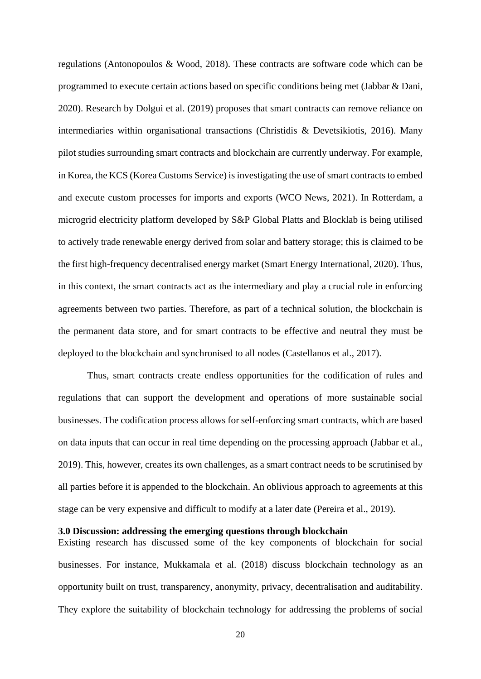regulations (Antonopoulos & Wood, 2018). These contracts are software code which can be programmed to execute certain actions based on specific conditions being met (Jabbar & Dani, 2020). Research by Dolgui et al. (2019) proposes that smart contracts can remove reliance on intermediaries within organisational transactions (Christidis & Devetsikiotis, 2016). Many pilot studies surrounding smart contracts and blockchain are currently underway. For example, in Korea, the KCS (Korea Customs Service) is investigating the use of smart contracts to embed and execute custom processes for imports and exports (WCO News, 2021). In Rotterdam, a microgrid electricity platform developed by S&P Global Platts and Blocklab is being utilised to actively trade renewable energy derived from solar and battery storage; this is claimed to be the first high-frequency decentralised energy market (Smart Energy International, 2020). Thus, in this context, the smart contracts act as the intermediary and play a crucial role in enforcing agreements between two parties. Therefore, as part of a technical solution, the blockchain is the permanent data store, and for smart contracts to be effective and neutral they must be deployed to the blockchain and synchronised to all nodes (Castellanos et al., 2017).

Thus, smart contracts create endless opportunities for the codification of rules and regulations that can support the development and operations of more sustainable social businesses. The codification process allows for self-enforcing smart contracts, which are based on data inputs that can occur in real time depending on the processing approach (Jabbar et al., 2019). This, however, creates its own challenges, as a smart contract needs to be scrutinised by all parties before it is appended to the blockchain. An oblivious approach to agreements at this stage can be very expensive and difficult to modify at a later date (Pereira et al., 2019).

### **3.0 Discussion: addressing the emerging questions through blockchain**

Existing research has discussed some of the key components of blockchain for social businesses. For instance, Mukkamala et al. (2018) discuss blockchain technology as an opportunity built on trust, transparency, anonymity, privacy, decentralisation and auditability. They explore the suitability of blockchain technology for addressing the problems of social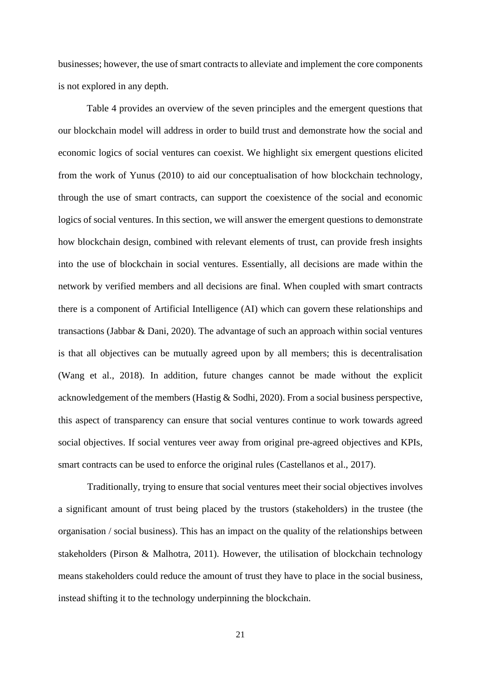businesses; however, the use of smart contracts to alleviate and implement the core components is not explored in any depth.

[Table 4](#page-21-0) provides an overview of the seven principles and the emergent questions that our blockchain model will address in order to build trust and demonstrate how the social and economic logics of social ventures can coexist. We highlight six emergent questions elicited from the work of Yunus (2010) to aid our conceptualisation of how blockchain technology, through the use of smart contracts, can support the coexistence of the social and economic logics of social ventures. In this section, we will answer the emergent questions to demonstrate how blockchain design, combined with relevant elements of trust, can provide fresh insights into the use of blockchain in social ventures. Essentially, all decisions are made within the network by verified members and all decisions are final. When coupled with smart contracts there is a component of Artificial Intelligence (AI) which can govern these relationships and transactions (Jabbar & Dani, 2020). The advantage of such an approach within social ventures is that all objectives can be mutually agreed upon by all members; this is decentralisation (Wang et al., 2018). In addition, future changes cannot be made without the explicit acknowledgement of the members (Hastig & Sodhi, 2020). From a social business perspective, this aspect of transparency can ensure that social ventures continue to work towards agreed social objectives. If social ventures veer away from original pre-agreed objectives and KPIs, smart contracts can be used to enforce the original rules (Castellanos et al., 2017).

Traditionally, trying to ensure that social ventures meet their social objectives involves a significant amount of trust being placed by the trustors (stakeholders) in the trustee (the organisation / social business). This has an impact on the quality of the relationships between stakeholders (Pirson & Malhotra, 2011). However, the utilisation of blockchain technology means stakeholders could reduce the amount of trust they have to place in the social business, instead shifting it to the technology underpinning the blockchain.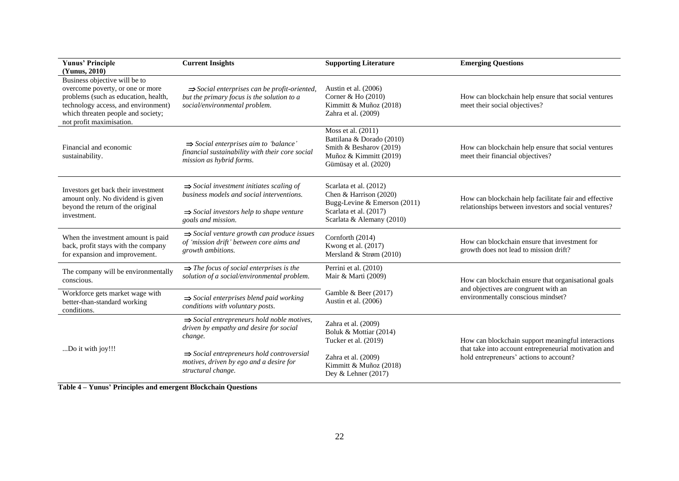| <b>Yunus' Principle</b><br>(Yunus, 2010)                                                                                                                                                                                               | <b>Current Insights</b>                                                                                                                 | <b>Supporting Literature</b>                                                                                                  | <b>Emerging Questions</b>                                                                                                                              |  |
|----------------------------------------------------------------------------------------------------------------------------------------------------------------------------------------------------------------------------------------|-----------------------------------------------------------------------------------------------------------------------------------------|-------------------------------------------------------------------------------------------------------------------------------|--------------------------------------------------------------------------------------------------------------------------------------------------------|--|
| Business objective will be to<br>overcome poverty, or one or more<br>problems (such as education, health,<br>technology access, and environment)<br>which threaten people and society;<br>not profit maximisation.                     | $\Rightarrow$ Social enterprises can be profit-oriented,<br>but the primary focus is the solution to a<br>social/environmental problem. | Austin et al. $(2006)$<br>Corner & Ho (2010)<br>Kimmitt & Muñoz (2018)<br>Zahra et al. (2009)                                 | How can blockchain help ensure that social ventures<br>meet their social objectives?                                                                   |  |
| Financial and economic<br>sustainability.                                                                                                                                                                                              | $\Rightarrow$ Social enterprises aim to 'balance'<br>financial sustainability with their core social<br>mission as hybrid forms.        | Moss et al. (2011)<br>Battilana & Dorado (2010)<br>Smith & Besharov (2019)<br>Muñoz & Kimmitt (2019)<br>Gümüsay et al. (2020) | How can blockchain help ensure that social ventures<br>meet their financial objectives?                                                                |  |
| Investors get back their investment<br>amount only. No dividend is given<br>beyond the return of the original                                                                                                                          | $\Rightarrow$ Social investment initiates scaling of<br>business models and social interventions.                                       | Scarlata et al. (2012)<br>Chen & Harrison (2020)<br>Bugg-Levine & Emerson (2011)                                              | How can blockchain help facilitate fair and effective<br>relationships between investors and social ventures?                                          |  |
| investment.                                                                                                                                                                                                                            | $\Rightarrow$ Social investors help to shape venture<br>goals and mission.                                                              | Scarlata et al. (2017)<br>Scarlata & Alemany (2010)                                                                           |                                                                                                                                                        |  |
| $\Rightarrow$ Social venture growth can produce issues<br>When the investment amount is paid<br>of 'mission drift' between core aims and<br>back, profit stays with the company<br>growth ambitions.<br>for expansion and improvement. |                                                                                                                                         | Cornforth (2014)<br>Kwong et al. (2017)<br>Mersland & Strøm (2010)                                                            | How can blockchain ensure that investment for<br>growth does not lead to mission drift?                                                                |  |
| The company will be environmentally<br>conscious.                                                                                                                                                                                      | $\Rightarrow$ The focus of social enterprises is the<br>solution of a social/environmental problem.                                     | Perrini et al. (2010)<br>Mair & Marti (2009)                                                                                  | How can blockchain ensure that organisational goals                                                                                                    |  |
| Workforce gets market wage with<br>better-than-standard working<br>conditions.                                                                                                                                                         | $\Rightarrow$ Social enterprises blend paid working<br>conditions with voluntary posts.                                                 | Gamble & Beer (2017)<br>Austin et al. (2006)                                                                                  | and objectives are congruent with an<br>environmentally conscious mindset?                                                                             |  |
|                                                                                                                                                                                                                                        | $\Rightarrow$ Social entrepreneurs hold noble motives,<br>driven by empathy and desire for social<br>change.                            | Zahra et al. (2009)<br>Boluk & Mottiar (2014)<br>Tucker et al. (2019)                                                         | How can blockchain support meaningful interactions<br>that take into account entrepreneurial motivation and<br>hold entrepreneurs' actions to account? |  |
| Do it with joy!!!                                                                                                                                                                                                                      | $\Rightarrow$ Social entrepreneurs hold controversial<br>motives, driven by ego and a desire for<br>structural change.                  | Zahra et al. (2009)<br>Kimmitt & Muñoz (2018)<br>Dey & Lehner (2017)                                                          |                                                                                                                                                        |  |

<span id="page-21-0"></span>**Table 4 – Yunus' Principles and emergent Blockchain Questions**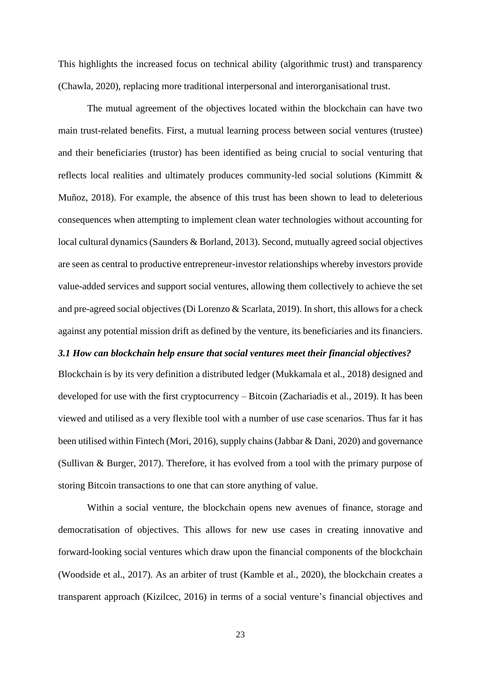This highlights the increased focus on technical ability (algorithmic trust) and transparency (Chawla, 2020), replacing more traditional interpersonal and interorganisational trust.

The mutual agreement of the objectives located within the blockchain can have two main trust-related benefits. First, a mutual learning process between social ventures (trustee) and their beneficiaries (trustor) has been identified as being crucial to social venturing that reflects local realities and ultimately produces community-led social solutions (Kimmitt & Muñoz, 2018). For example, the absence of this trust has been shown to lead to deleterious consequences when attempting to implement clean water technologies without accounting for local cultural dynamics (Saunders & Borland, 2013). Second, mutually agreed social objectives are seen as central to productive entrepreneur-investor relationships whereby investors provide value-added services and support social ventures, allowing them collectively to achieve the set and pre-agreed social objectives (Di Lorenzo & Scarlata, 2019). In short, this allows for a check against any potential mission drift as defined by the venture, its beneficiaries and its financiers.

## *3.1 How can blockchain help ensure that social ventures meet their financial objectives?*

Blockchain is by its very definition a distributed ledger (Mukkamala et al., 2018) designed and developed for use with the first cryptocurrency – Bitcoin (Zachariadis et al., 2019). It has been viewed and utilised as a very flexible tool with a number of use case scenarios. Thus far it has been utilised within Fintech (Mori, 2016), supply chains (Jabbar & Dani, 2020) and governance (Sullivan & Burger, 2017). Therefore, it has evolved from a tool with the primary purpose of storing Bitcoin transactions to one that can store anything of value.

Within a social venture, the blockchain opens new avenues of finance, storage and democratisation of objectives. This allows for new use cases in creating innovative and forward-looking social ventures which draw upon the financial components of the blockchain (Woodside et al., 2017). As an arbiter of trust (Kamble et al., 2020), the blockchain creates a transparent approach (Kizilcec, 2016) in terms of a social venture's financial objectives and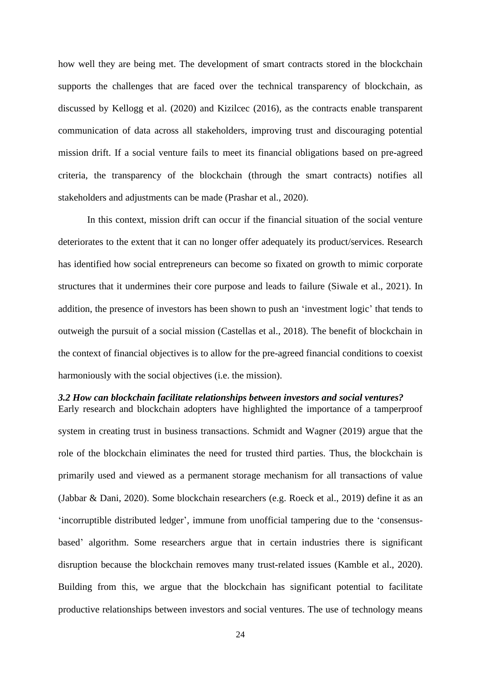how well they are being met. The development of smart contracts stored in the blockchain supports the challenges that are faced over the technical transparency of blockchain, as discussed by Kellogg et al. (2020) and Kizilcec (2016), as the contracts enable transparent communication of data across all stakeholders, improving trust and discouraging potential mission drift. If a social venture fails to meet its financial obligations based on pre-agreed criteria, the transparency of the blockchain (through the smart contracts) notifies all stakeholders and adjustments can be made (Prashar et al., 2020).

In this context, mission drift can occur if the financial situation of the social venture deteriorates to the extent that it can no longer offer adequately its product/services. Research has identified how social entrepreneurs can become so fixated on growth to mimic corporate structures that it undermines their core purpose and leads to failure (Siwale et al., 2021). In addition, the presence of investors has been shown to push an 'investment logic' that tends to outweigh the pursuit of a social mission (Castellas et al., 2018). The benefit of blockchain in the context of financial objectives is to allow for the pre-agreed financial conditions to coexist harmoniously with the social objectives (i.e. the mission).

### *3.2 How can blockchain facilitate relationships between investors and social ventures?*

Early research and blockchain adopters have highlighted the importance of a tamperproof system in creating trust in business transactions. Schmidt and Wagner (2019) argue that the role of the blockchain eliminates the need for trusted third parties. Thus, the blockchain is primarily used and viewed as a permanent storage mechanism for all transactions of value (Jabbar & Dani, 2020). Some blockchain researchers (e.g. Roeck et al., 2019) define it as an 'incorruptible distributed ledger', immune from unofficial tampering due to the 'consensusbased' algorithm. Some researchers argue that in certain industries there is significant disruption because the blockchain removes many trust-related issues (Kamble et al., 2020). Building from this, we argue that the blockchain has significant potential to facilitate productive relationships between investors and social ventures. The use of technology means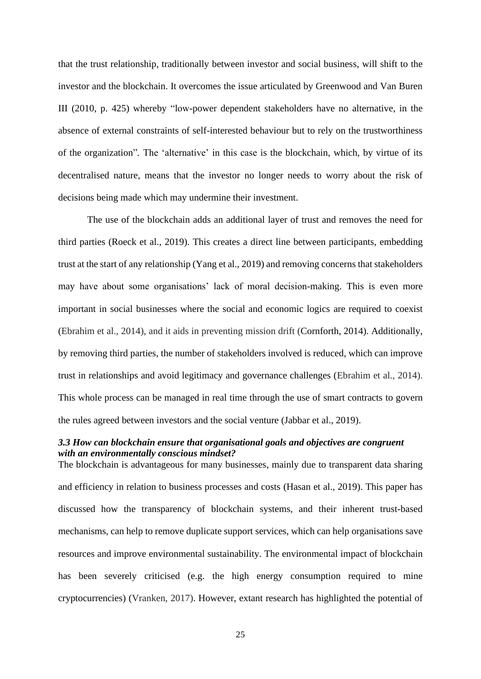that the trust relationship, traditionally between investor and social business, will shift to the investor and the blockchain. It overcomes the issue articulated by Greenwood and Van Buren III (2010, p. 425) whereby "low-power dependent stakeholders have no alternative, in the absence of external constraints of self-interested behaviour but to rely on the trustworthiness of the organization"*.* The 'alternative' in this case is the blockchain, which, by virtue of its decentralised nature, means that the investor no longer needs to worry about the risk of decisions being made which may undermine their investment.

The use of the blockchain adds an additional layer of trust and removes the need for third parties (Roeck et al., 2019). This creates a direct line between participants, embedding trust at the start of any relationship (Yang et al., 2019) and removing concerns that stakeholders may have about some organisations' lack of moral decision-making. This is even more important in social businesses where the social and economic logics are required to coexist (Ebrahim et al., 2014), and it aids in preventing mission drift (Cornforth, 2014). Additionally, by removing third parties, the number of stakeholders involved is reduced, which can improve trust in relationships and avoid legitimacy and governance challenges (Ebrahim et al., 2014). This whole process can be managed in real time through the use of smart contracts to govern the rules agreed between investors and the social venture (Jabbar et al., 2019).

## *3.3 How can blockchain ensure that organisational goals and objectives are congruent with an environmentally conscious mindset?*

The blockchain is advantageous for many businesses, mainly due to transparent data sharing and efficiency in relation to business processes and costs (Hasan et al., 2019). This paper has discussed how the transparency of blockchain systems, and their inherent trust-based mechanisms, can help to remove duplicate support services, which can help organisations save resources and improve environmental sustainability. The environmental impact of blockchain has been severely criticised (e.g. the high energy consumption required to mine cryptocurrencies) (Vranken, 2017). However, extant research has highlighted the potential of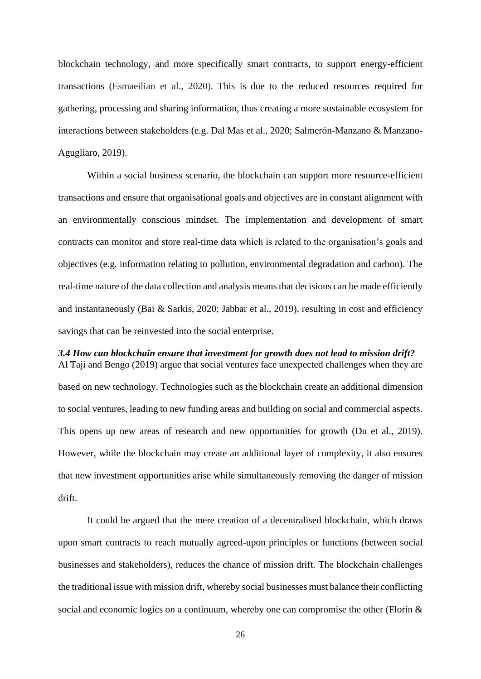blockchain technology, and more specifically smart contracts, to support energy-efficient transactions (Esmaeilian et al., 2020). This is due to the reduced resources required for gathering, processing and sharing information, thus creating a more sustainable ecosystem for interactions between stakeholders (e.g. Dal Mas et al., 2020; Salmerón-Manzano & Manzano-Agugliaro, 2019).

Within a social business scenario, the blockchain can support more resource-efficient transactions and ensure that organisational goals and objectives are in constant alignment with an environmentally conscious mindset. The implementation and development of smart contracts can monitor and store real-time data which is related to the organisation's goals and objectives (e.g. information relating to pollution, environmental degradation and carbon). The real-time nature of the data collection and analysis means that decisions can be made efficiently and instantaneously (Bai & Sarkis, 2020; Jabbar et al., 2019), resulting in cost and efficiency savings that can be reinvested into the social enterprise.

### *3.4 How can blockchain ensure that investment for growth does not lead to mission drift?* Al Taji and Bengo (2019) argue that social ventures face unexpected challenges when they are

based on new technology. Technologies such as the blockchain create an additional dimension to social ventures, leading to new funding areas and building on social and commercial aspects. This opens up new areas of research and new opportunities for growth (Du et al., 2019). However, while the blockchain may create an additional layer of complexity, it also ensures that new investment opportunities arise while simultaneously removing the danger of mission drift.

It could be argued that the mere creation of a decentralised blockchain, which draws upon smart contracts to reach mutually agreed-upon principles or functions (between social businesses and stakeholders), reduces the chance of mission drift. The blockchain challenges the traditional issue with mission drift, whereby social businesses must balance their conflicting social and economic logics on a continuum, whereby one can compromise the other (Florin &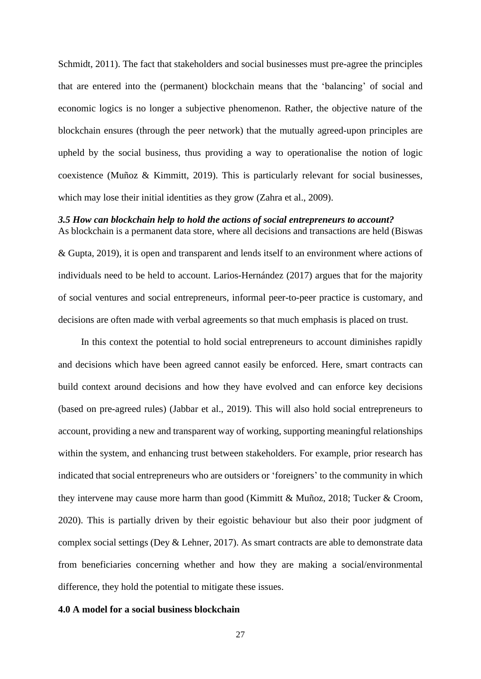Schmidt, 2011). The fact that stakeholders and social businesses must pre-agree the principles that are entered into the (permanent) blockchain means that the 'balancing' of social and economic logics is no longer a subjective phenomenon. Rather, the objective nature of the blockchain ensures (through the peer network) that the mutually agreed-upon principles are upheld by the social business, thus providing a way to operationalise the notion of logic coexistence (Muñoz & Kimmitt, 2019). This is particularly relevant for social businesses, which may lose their initial identities as they grow (Zahra et al., 2009).

## *3.5 How can blockchain help to hold the actions of social entrepreneurs to account?*

As blockchain is a permanent data store, where all decisions and transactions are held (Biswas & Gupta, 2019), it is open and transparent and lends itself to an environment where actions of individuals need to be held to account. Larios-Hernández (2017) argues that for the majority of social ventures and social entrepreneurs, informal peer-to-peer practice is customary, and decisions are often made with verbal agreements so that much emphasis is placed on trust.

In this context the potential to hold social entrepreneurs to account diminishes rapidly and decisions which have been agreed cannot easily be enforced. Here, smart contracts can build context around decisions and how they have evolved and can enforce key decisions (based on pre-agreed rules) (Jabbar et al., 2019). This will also hold social entrepreneurs to account, providing a new and transparent way of working, supporting meaningful relationships within the system, and enhancing trust between stakeholders. For example, prior research has indicated that social entrepreneurs who are outsiders or 'foreigners' to the community in which they intervene may cause more harm than good (Kimmitt & Muñoz, 2018; Tucker & Croom, 2020). This is partially driven by their egoistic behaviour but also their poor judgment of complex social settings (Dey & Lehner, 2017). As smart contracts are able to demonstrate data from beneficiaries concerning whether and how they are making a social/environmental difference, they hold the potential to mitigate these issues.

### **4.0 A model for a social business blockchain**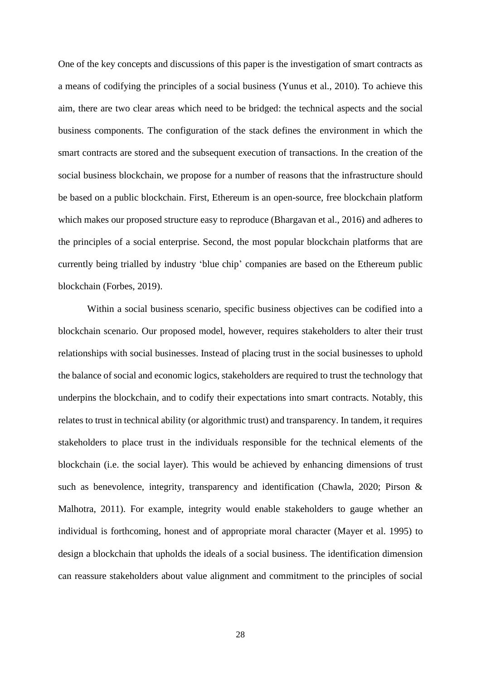One of the key concepts and discussions of this paper is the investigation of smart contracts as a means of codifying the principles of a social business (Yunus et al., 2010). To achieve this aim, there are two clear areas which need to be bridged: the technical aspects and the social business components. The configuration of the stack defines the environment in which the smart contracts are stored and the subsequent execution of transactions. In the creation of the social business blockchain, we propose for a number of reasons that the infrastructure should be based on a public blockchain. First, Ethereum is an open-source, free blockchain platform which makes our proposed structure easy to reproduce (Bhargavan et al., 2016) and adheres to the principles of a social enterprise. Second, the most popular blockchain platforms that are currently being trialled by industry 'blue chip' companies are based on the Ethereum public blockchain (Forbes, 2019).

Within a social business scenario, specific business objectives can be codified into a blockchain scenario. Our proposed model, however, requires stakeholders to alter their trust relationships with social businesses. Instead of placing trust in the social businesses to uphold the balance of social and economic logics, stakeholders are required to trust the technology that underpins the blockchain, and to codify their expectations into smart contracts. Notably, this relates to trust in technical ability (or algorithmic trust) and transparency. In tandem, it requires stakeholders to place trust in the individuals responsible for the technical elements of the blockchain (i.e. the social layer). This would be achieved by enhancing dimensions of trust such as benevolence, integrity, transparency and identification (Chawla, 2020; Pirson & Malhotra, 2011). For example, integrity would enable stakeholders to gauge whether an individual is forthcoming, honest and of appropriate moral character (Mayer et al. 1995) to design a blockchain that upholds the ideals of a social business. The identification dimension can reassure stakeholders about value alignment and commitment to the principles of social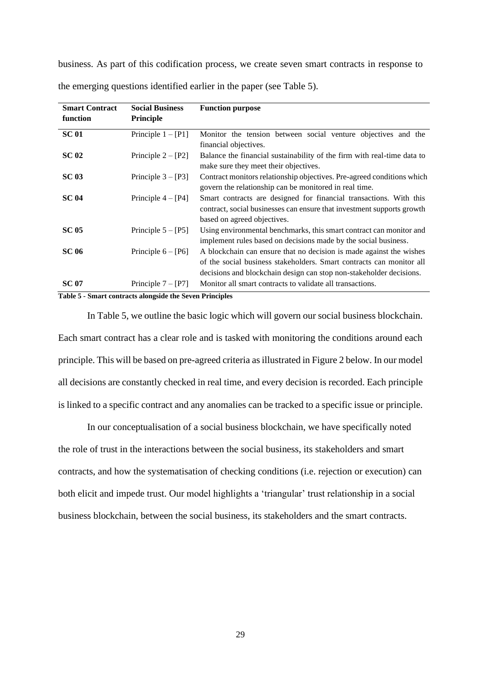business. As part of this codification process, we create seven smart contracts in response to

| <b>Smart Contract</b><br>function | <b>Social Business</b><br><b>Principle</b> | <b>Function purpose</b>                                                                                                                                                                                            |
|-----------------------------------|--------------------------------------------|--------------------------------------------------------------------------------------------------------------------------------------------------------------------------------------------------------------------|
| <b>SC 01</b>                      | Principle $1 - [P1]$                       | Monitor the tension between social venture objectives and the<br>financial objectives.                                                                                                                             |
| <b>SC 02</b>                      | Principle $2 - [P2]$                       | Balance the financial sustainability of the firm with real-time data to<br>make sure they meet their objectives.                                                                                                   |
| <b>SC 03</b>                      | Principle $3 - [P3]$                       | Contract monitors relationship objectives. Pre-agreed conditions which<br>govern the relationship can be monitored in real time.                                                                                   |
| <b>SC 04</b>                      | Principle $4 - [P4]$                       | Smart contracts are designed for financial transactions. With this<br>contract, social businesses can ensure that investment supports growth<br>based on agreed objectives.                                        |
| <b>SC 05</b>                      | Principle $5 - [P5]$                       | Using environmental benchmarks, this smart contract can monitor and<br>implement rules based on decisions made by the social business.                                                                             |
| <b>SC 06</b>                      | Principle $6 - [P6]$                       | A blockchain can ensure that no decision is made against the wishes<br>of the social business stakeholders. Smart contracts can monitor all<br>decisions and blockchain design can stop non-stakeholder decisions. |
| <b>SC 07</b>                      | Principle $7 - [P7]$                       | Monitor all smart contracts to validate all transactions.                                                                                                                                                          |

the emerging questions identified earlier in the paper (see [Table 5\)](#page-28-0).

<span id="page-28-0"></span>**Table 5 - Smart contracts alongside the Seven Principles**

In [Table 5,](#page-28-0) we outline the basic logic which will govern our social business blockchain. Each smart contract has a clear role and is tasked with monitoring the conditions around each principle. This will be based on pre-agreed criteria as illustrated in [Figure 2](#page-29-0) below. In our model all decisions are constantly checked in real time, and every decision is recorded. Each principle is linked to a specific contract and any anomalies can be tracked to a specific issue or principle.

In our conceptualisation of a social business blockchain, we have specifically noted the role of trust in the interactions between the social business, its stakeholders and smart contracts, and how the systematisation of checking conditions (i.e. rejection or execution) can both elicit and impede trust. Our model highlights a 'triangular' trust relationship in a social business blockchain, between the social business, its stakeholders and the smart contracts.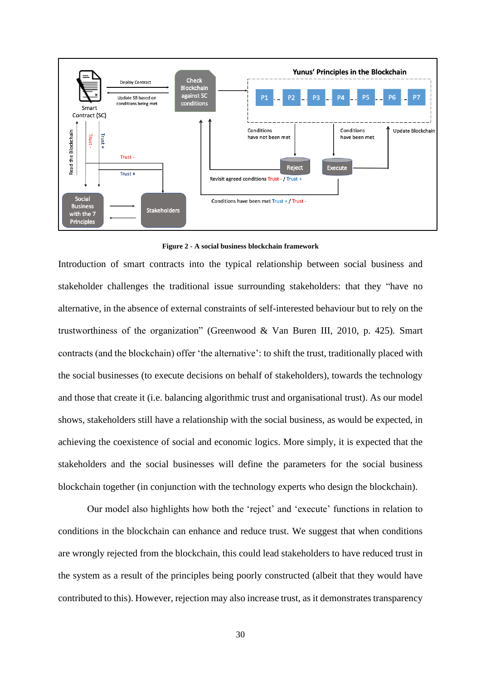

**Figure 2 - A social business blockchain framework**

<span id="page-29-0"></span>Introduction of smart contracts into the typical relationship between social business and stakeholder challenges the traditional issue surrounding stakeholders: that they "have no alternative, in the absence of external constraints of self-interested behaviour but to rely on the trustworthiness of the organization" (Greenwood & Van Buren III, 2010, p. 425)*.* Smart contracts (and the blockchain) offer 'the alternative': to shift the trust, traditionally placed with the social businesses (to execute decisions on behalf of stakeholders), towards the technology and those that create it (i.e. balancing algorithmic trust and organisational trust). As our model shows, stakeholders still have a relationship with the social business, as would be expected, in achieving the coexistence of social and economic logics. More simply, it is expected that the stakeholders and the social businesses will define the parameters for the social business blockchain together (in conjunction with the technology experts who design the blockchain).

Our model also highlights how both the 'reject' and 'execute' functions in relation to conditions in the blockchain can enhance and reduce trust. We suggest that when conditions are wrongly rejected from the blockchain, this could lead stakeholders to have reduced trust in the system as a result of the principles being poorly constructed (albeit that they would have contributed to this). However, rejection may also increase trust, as it demonstrates transparency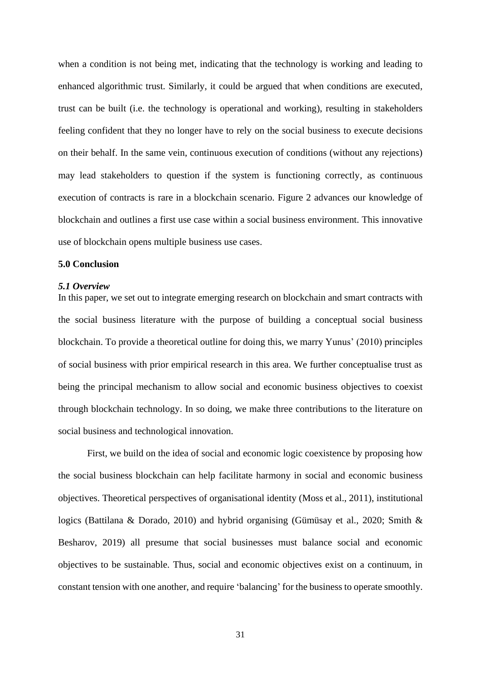when a condition is not being met, indicating that the technology is working and leading to enhanced algorithmic trust. Similarly, it could be argued that when conditions are executed, trust can be built (i.e. the technology is operational and working), resulting in stakeholders feeling confident that they no longer have to rely on the social business to execute decisions on their behalf. In the same vein, continuous execution of conditions (without any rejections) may lead stakeholders to question if the system is functioning correctly, as continuous execution of contracts is rare in a blockchain scenario. [Figure 2](#page-29-0) advances our knowledge of blockchain and outlines a first use case within a social business environment. This innovative use of blockchain opens multiple business use cases.

## **5.0 Conclusion**

### *5.1 Overview*

In this paper, we set out to integrate emerging research on blockchain and smart contracts with the social business literature with the purpose of building a conceptual social business blockchain. To provide a theoretical outline for doing this, we marry Yunus' (2010) principles of social business with prior empirical research in this area. We further conceptualise trust as being the principal mechanism to allow social and economic business objectives to coexist through blockchain technology. In so doing, we make three contributions to the literature on social business and technological innovation.

First, we build on the idea of social and economic logic coexistence by proposing how the social business blockchain can help facilitate harmony in social and economic business objectives. Theoretical perspectives of organisational identity (Moss et al., 2011), institutional logics (Battilana & Dorado, 2010) and hybrid organising (Gümüsay et al., 2020; Smith & Besharov, 2019) all presume that social businesses must balance social and economic objectives to be sustainable. Thus, social and economic objectives exist on a continuum, in constant tension with one another, and require 'balancing' for the business to operate smoothly.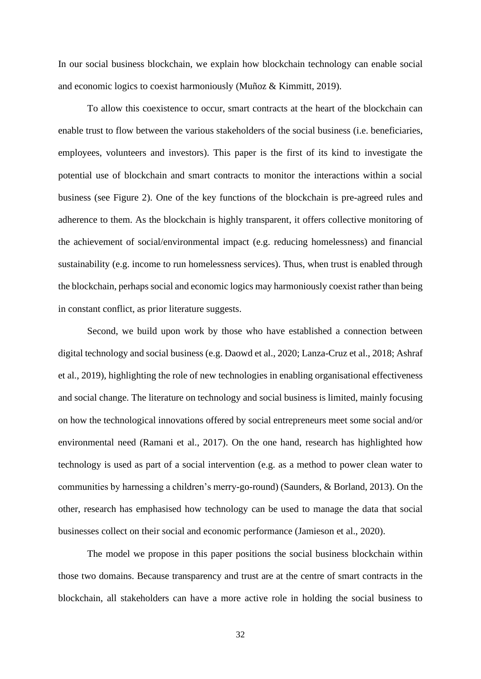In our social business blockchain, we explain how blockchain technology can enable social and economic logics to coexist harmoniously (Muñoz & Kimmitt, 2019).

To allow this coexistence to occur, smart contracts at the heart of the blockchain can enable trust to flow between the various stakeholders of the social business (i.e. beneficiaries, employees, volunteers and investors). This paper is the first of its kind to investigate the potential use of blockchain and smart contracts to monitor the interactions within a social business (see Figure 2). One of the key functions of the blockchain is pre-agreed rules and adherence to them. As the blockchain is highly transparent, it offers collective monitoring of the achievement of social/environmental impact (e.g. reducing homelessness) and financial sustainability (e.g. income to run homelessness services). Thus, when trust is enabled through the blockchain, perhaps social and economic logics may harmoniously coexist rather than being in constant conflict, as prior literature suggests.

Second, we build upon work by those who have established a connection between digital technology and social business (e.g. Daowd et al., 2020; Lanza-Cruz et al., 2018; Ashraf et al., 2019), highlighting the role of new technologies in enabling organisational effectiveness and social change. The literature on technology and social business is limited, mainly focusing on how the technological innovations offered by social entrepreneurs meet some social and/or environmental need (Ramani et al., 2017). On the one hand, research has highlighted how technology is used as part of a social intervention (e.g. as a method to power clean water to communities by harnessing a children's merry-go-round) (Saunders, & Borland, 2013). On the other, research has emphasised how technology can be used to manage the data that social businesses collect on their social and economic performance (Jamieson et al., 2020).

The model we propose in this paper positions the social business blockchain within those two domains. Because transparency and trust are at the centre of smart contracts in the blockchain, all stakeholders can have a more active role in holding the social business to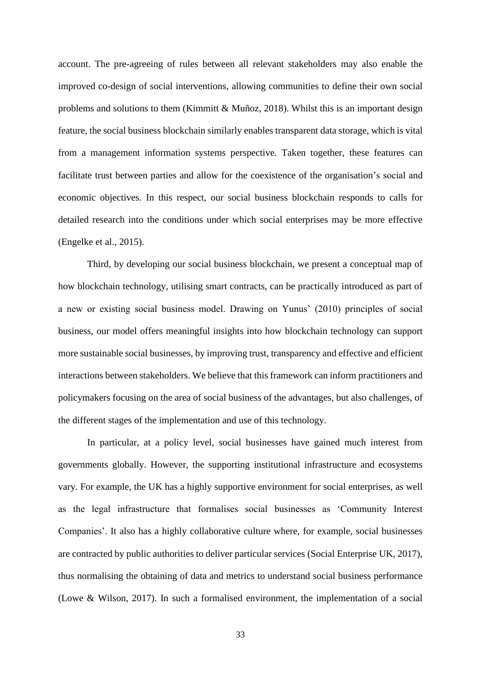account. The pre-agreeing of rules between all relevant stakeholders may also enable the improved co-design of social interventions, allowing communities to define their own social problems and solutions to them (Kimmitt  $\&$  Muñoz, 2018). Whilst this is an important design feature, the social business blockchain similarly enables transparent data storage, which is vital from a management information systems perspective. Taken together, these features can facilitate trust between parties and allow for the coexistence of the organisation's social and economic objectives. In this respect, our social business blockchain responds to calls for detailed research into the conditions under which social enterprises may be more effective (Engelke et al., 2015).

Third, by developing our social business blockchain, we present a conceptual map of how blockchain technology, utilising smart contracts, can be practically introduced as part of a new or existing social business model. Drawing on Yunus' (2010) principles of social business, our model offers meaningful insights into how blockchain technology can support more sustainable social businesses, by improving trust, transparency and effective and efficient interactions between stakeholders. We believe that this framework can inform practitioners and policymakers focusing on the area of social business of the advantages, but also challenges, of the different stages of the implementation and use of this technology.

In particular, at a policy level, social businesses have gained much interest from governments globally. However, the supporting institutional infrastructure and ecosystems vary. For example, the UK has a highly supportive environment for social enterprises, as well as the legal infrastructure that formalises social businesses as 'Community Interest Companies'. It also has a highly collaborative culture where, for example, social businesses are contracted by public authorities to deliver particular services (Social Enterprise UK, 2017), thus normalising the obtaining of data and metrics to understand social business performance (Lowe & Wilson, 2017). In such a formalised environment, the implementation of a social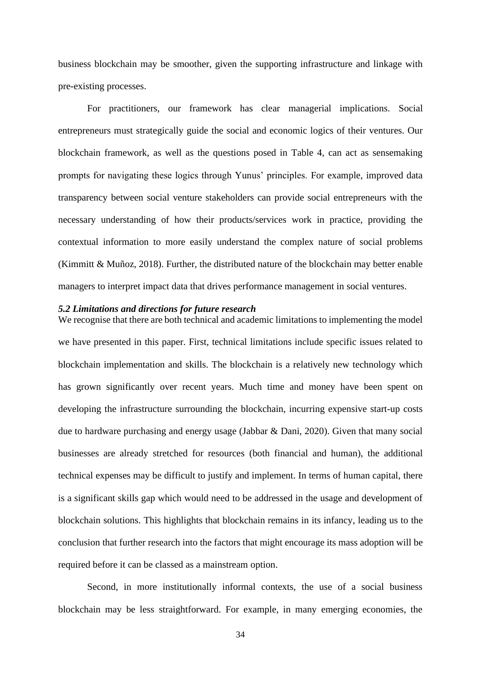business blockchain may be smoother, given the supporting infrastructure and linkage with pre-existing processes.

For practitioners, our framework has clear managerial implications. Social entrepreneurs must strategically guide the social and economic logics of their ventures. Our blockchain framework, as well as the questions posed in [Table 4,](#page-21-0) can act as sensemaking prompts for navigating these logics through Yunus' principles. For example, improved data transparency between social venture stakeholders can provide social entrepreneurs with the necessary understanding of how their products/services work in practice, providing the contextual information to more easily understand the complex nature of social problems (Kimmitt & Muñoz, 2018). Further, the distributed nature of the blockchain may better enable managers to interpret impact data that drives performance management in social ventures.

### *5.2 Limitations and directions for future research*

We recognise that there are both technical and academic limitations to implementing the model we have presented in this paper. First, technical limitations include specific issues related to blockchain implementation and skills. The blockchain is a relatively new technology which has grown significantly over recent years. Much time and money have been spent on developing the infrastructure surrounding the blockchain, incurring expensive start-up costs due to hardware purchasing and energy usage (Jabbar & Dani, 2020). Given that many social businesses are already stretched for resources (both financial and human), the additional technical expenses may be difficult to justify and implement. In terms of human capital, there is a significant skills gap which would need to be addressed in the usage and development of blockchain solutions. This highlights that blockchain remains in its infancy, leading us to the conclusion that further research into the factors that might encourage its mass adoption will be required before it can be classed as a mainstream option.

Second, in more institutionally informal contexts, the use of a social business blockchain may be less straightforward. For example, in many emerging economies, the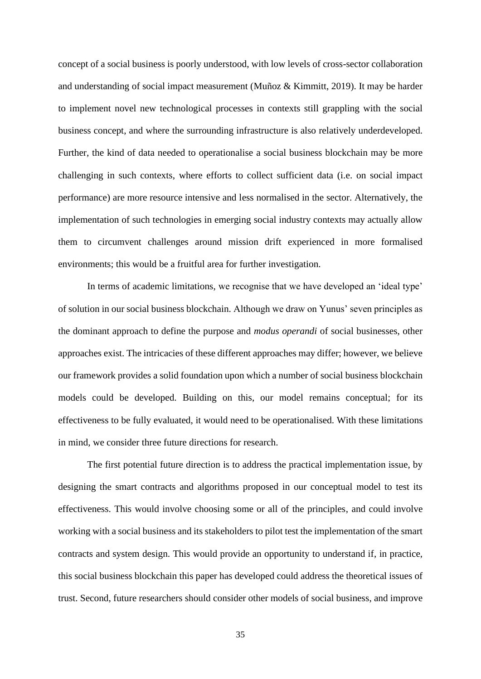concept of a social business is poorly understood, with low levels of cross-sector collaboration and understanding of social impact measurement (Muñoz & Kimmitt, 2019). It may be harder to implement novel new technological processes in contexts still grappling with the social business concept, and where the surrounding infrastructure is also relatively underdeveloped. Further, the kind of data needed to operationalise a social business blockchain may be more challenging in such contexts, where efforts to collect sufficient data (i.e. on social impact performance) are more resource intensive and less normalised in the sector. Alternatively, the implementation of such technologies in emerging social industry contexts may actually allow them to circumvent challenges around mission drift experienced in more formalised environments; this would be a fruitful area for further investigation.

In terms of academic limitations, we recognise that we have developed an 'ideal type' of solution in our social business blockchain. Although we draw on Yunus' seven principles as the dominant approach to define the purpose and *modus operandi* of social businesses, other approaches exist. The intricacies of these different approaches may differ; however, we believe our framework provides a solid foundation upon which a number of social business blockchain models could be developed. Building on this, our model remains conceptual; for its effectiveness to be fully evaluated, it would need to be operationalised. With these limitations in mind, we consider three future directions for research.

The first potential future direction is to address the practical implementation issue, by designing the smart contracts and algorithms proposed in our conceptual model to test its effectiveness. This would involve choosing some or all of the principles, and could involve working with a social business and its stakeholders to pilot test the implementation of the smart contracts and system design. This would provide an opportunity to understand if, in practice, this social business blockchain this paper has developed could address the theoretical issues of trust. Second, future researchers should consider other models of social business, and improve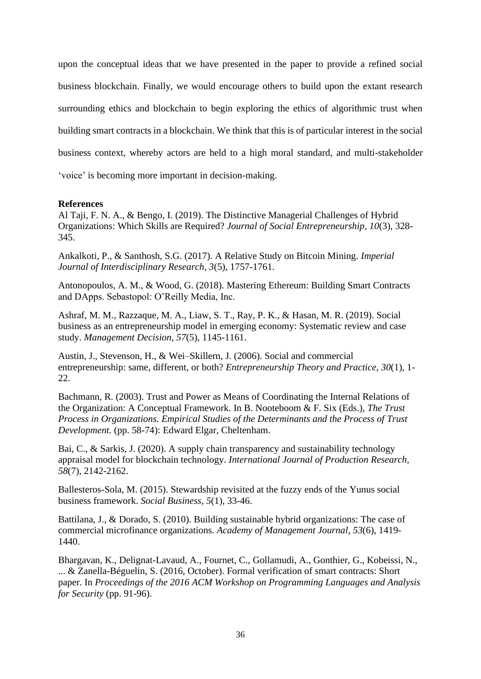upon the conceptual ideas that we have presented in the paper to provide a refined social business blockchain. Finally, we would encourage others to build upon the extant research surrounding ethics and blockchain to begin exploring the ethics of algorithmic trust when building smart contracts in a blockchain. We think that this is of particular interest in the social business context, whereby actors are held to a high moral standard, and multi-stakeholder 'voice' is becoming more important in decision-making.

## **References**

Al Taji, F. N. A., & Bengo, I. (2019). The Distinctive Managerial Challenges of Hybrid Organizations: Which Skills are Required? *Journal of Social Entrepreneurship*, *10*(3), 328- 345.

Ankalkoti, P., & Santhosh, S.G. (2017). A Relative Study on Bitcoin Mining. *Imperial Journal of Interdisciplinary Research*, *3*(5), 1757-1761.

Antonopoulos, A. M., & Wood, G. (2018). Mastering Ethereum: Building Smart Contracts and DApps. Sebastopol: O'Reilly Media, Inc.

Ashraf, M. M., Razzaque, M. A., Liaw, S. T., Ray, P. K., & Hasan, M. R. (2019). Social business as an entrepreneurship model in emerging economy: Systematic review and case study. *Management Decision, 57*(5), 1145-1161.

Austin, J., Stevenson, H., & Wei–Skillern, J. (2006). Social and commercial entrepreneurship: same, different, or both? *Entrepreneurship Theory and Practice*, *30*(1), 1- 22.

Bachmann, R. (2003). Trust and Power as Means of Coordinating the Internal Relations of the Organization: A Conceptual Framework. In B. Nooteboom & F. Six (Eds.), *The Trust Process in Organizations. Empirical Studies of the Determinants and the Process of Trust Development.* (pp. 58-74): Edward Elgar, Cheltenham.

Bai, C., & Sarkis, J. (2020). A supply chain transparency and sustainability technology appraisal model for blockchain technology. *International Journal of Production Research*, *58*(7), 2142-2162.

Ballesteros-Sola, M. (2015). Stewardship revisited at the fuzzy ends of the Yunus social business framework. *Social Business*, *5*(1), 33-46.

Battilana, J., & Dorado, S. (2010). Building sustainable hybrid organizations: The case of commercial microfinance organizations. *Academy of Management Journal*, *53*(6), 1419- 1440.

Bhargavan, K., Delignat-Lavaud, A., Fournet, C., Gollamudi, A., Gonthier, G., Kobeissi, N., ... & Zanella-Béguelin, S. (2016, October). Formal verification of smart contracts: Short paper. In *Proceedings of the 2016 ACM Workshop on Programming Languages and Analysis for Security* (pp. 91-96).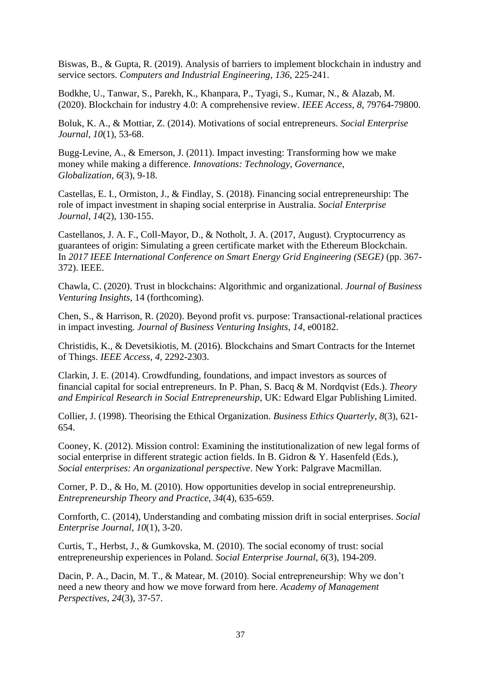Biswas, B., & Gupta, R. (2019). Analysis of barriers to implement blockchain in industry and service sectors. *Computers and Industrial Engineering*, *136*, 225-241.

Bodkhe, U., Tanwar, S., Parekh, K., Khanpara, P., Tyagi, S., Kumar, N., & Alazab, M. (2020). Blockchain for industry 4.0: A comprehensive review. *IEEE Access*, *8*, 79764-79800.

Boluk, K. A., & Mottiar, Z. (2014). Motivations of social entrepreneurs. *Social Enterprise Journal, 10*(1), 53-68.

Bugg-Levine, A., & Emerson, J. (2011). Impact investing: Transforming how we make money while making a difference. *Innovations: Technology, Governance, Globalization*, *6*(3), 9-18.

Castellas, E. I., Ormiston, J., & Findlay, S. (2018). Financing social entrepreneurship: The role of impact investment in shaping social enterprise in Australia. *Social Enterprise Journal*, *14*(2), 130-155.

Castellanos, J. A. F., Coll-Mayor, D., & Notholt, J. A. (2017, August). Cryptocurrency as guarantees of origin: Simulating a green certificate market with the Ethereum Blockchain. In *2017 IEEE International Conference on Smart Energy Grid Engineering (SEGE)* (pp. 367- 372). IEEE.

Chawla, C. (2020). Trust in blockchains: Algorithmic and organizational. *Journal of Business Venturing Insights*, 14 (forthcoming).

Chen, S., & Harrison, R. (2020). Beyond profit vs. purpose: Transactional-relational practices in impact investing. *Journal of Business Venturing Insights*, *14*, e00182.

Christidis, K., & Devetsikiotis, M. (2016). Blockchains and Smart Contracts for the Internet of Things. *IEEE Access*, *4*, 2292-2303.

Clarkin, J. E. (2014). Crowdfunding, foundations, and impact investors as sources of financial capital for social entrepreneurs. In P. Phan, S. Bacq & M. Nordqvist (Eds.). *Theory and Empirical Research in Social Entrepreneurship*, UK: Edward Elgar Publishing Limited.

Collier, J. (1998). Theorising the Ethical Organization. *Business Ethics Quarterly, 8*(3), 621- 654.

Cooney, K. (2012). Mission control: Examining the institutionalization of new legal forms of social enterprise in different strategic action fields. In B. Gidron & Y. Hasenfeld (Eds.), *Social enterprises: An organizational perspective*. New York: Palgrave Macmillan.

Corner, P. D., & Ho, M. (2010). How opportunities develop in social entrepreneurship. *Entrepreneurship Theory and Practice*, *34*(4), 635-659.

[Cornforth, C.](https://www.emerald.com/insight/search?q=Christopher%20Cornforth) (2014), Understanding and combating mission drift in social enterprises. *[Social](https://www.emerald.com/insight/publication/issn/1750-8614)  [Enterprise Journal,](https://www.emerald.com/insight/publication/issn/1750-8614) 10*(1), 3-20.

Curtis, T., Herbst, J., & Gumkovska, M. (2010). The social economy of trust: social entrepreneurship experiences in Poland. *Social Enterprise Journal*, *6*(3), 194-209.

Dacin, P. A., Dacin, M. T., & Matear, M. (2010). Social entrepreneurship: Why we don't need a new theory and how we move forward from here. *Academy of Management Perspectives*, *24*(3), 37-57.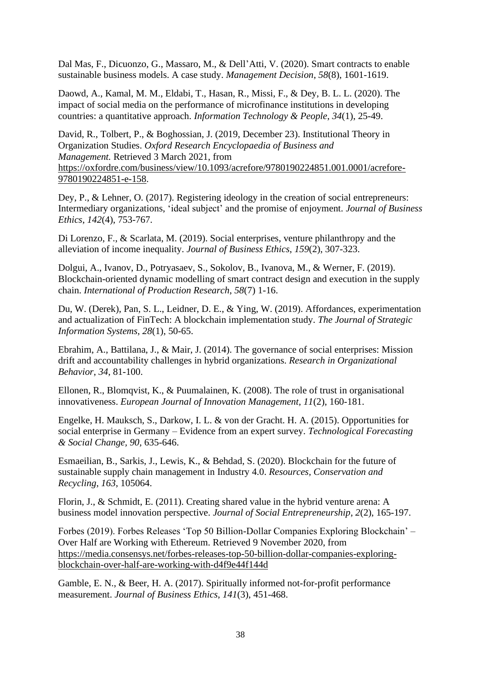Dal Mas, F., Dicuonzo, G., Massaro, M., & Dell'Atti, V. (2020). Smart contracts to enable sustainable business models. A case study. *Management Decision*, *58*(8), 1601-1619.

Daowd, A., Kamal, M. M., Eldabi, T., Hasan, R., Missi, F., & Dey, B. L. L. (2020). The impact of social media on the performance of microfinance institutions in developing countries: a quantitative approach. *Information Technology & People*, *34*(1), 25-49.

David, R., Tolbert, P., & Boghossian, J. (2019, December 23). Institutional Theory in Organization Studies. *Oxford Research Encyclopaedia of Business and Management.* Retrieved 3 March 2021, from [https://oxfordre.com/business/view/10.1093/acrefore/9780190224851.001.0001/acrefore-](https://oxfordre.com/business/view/10.1093/acrefore/9780190224851.001.0001/acrefore-9780190224851-e-158)[9780190224851-e-158.](https://oxfordre.com/business/view/10.1093/acrefore/9780190224851.001.0001/acrefore-9780190224851-e-158)

Dey, P., & Lehner, O. (2017). Registering ideology in the creation of social entrepreneurs: Intermediary organizations, 'ideal subject' and the promise of enjoyment. *Journal of Business Ethics*, *142*(4), 753-767.

Di Lorenzo, F., & Scarlata, M. (2019). Social enterprises, venture philanthropy and the alleviation of income inequality. *Journal of Business Ethics*, *159*(2), 307-323.

Dolgui, A., Ivanov, D., Potryasaev, S., Sokolov, B., Ivanova, M., & Werner, F. (2019). Blockchain-oriented dynamic modelling of smart contract design and execution in the supply chain. *International of Production Research*, *58*(7) 1-16.

Du, W. (Derek), Pan, S. L., Leidner, D. E., & Ying, W. (2019). Affordances, experimentation and actualization of FinTech: A blockchain implementation study. *The Journal of Strategic Information Systems, 28*(1), 50-65.

Ebrahim, A., Battilana, J., & Mair, J. (2014). The governance of social enterprises: Mission drift and accountability challenges in hybrid organizations. *Research in Organizational Behavior*, *34*, 81-100.

Ellonen, R., Blomqvist, K., & Puumalainen, K. (2008). The role of trust in organisational innovativeness. *European Journal of Innovation Management, 11*(2), 160-181.

Engelke, H. Mauksch, S., Darkow, I. L. & von der Gracht. H. A. (2015). Opportunities for social enterprise in Germany – Evidence from an expert survey. *Technological Forecasting & Social Change, 90,* 635-646.

Esmaeilian, B., Sarkis, J., Lewis, K., & Behdad, S. (2020). Blockchain for the future of sustainable supply chain management in Industry 4.0. *Resources, Conservation and Recycling*, *163*, 105064.

Florin, J., & Schmidt, E. (2011). Creating shared value in the hybrid venture arena: A business model innovation perspective. *Journal of Social Entrepreneurship*, *2*(2), 165-197.

Forbes (2019). Forbes Releases 'Top 50 Billion-Dollar Companies Exploring Blockchain' – Over Half are Working with Ethereum. Retrieved 9 November 2020, from [https://media.consensys.net/forbes-releases-top-50-billion-dollar-companies-exploring](https://media.consensys.net/forbes-releases-top-50-billion-dollar-companies-exploring-blockchain-over-half-are-working-with-d4f9e44f144d)[blockchain-over-half-are-working-with-d4f9e44f144d](https://media.consensys.net/forbes-releases-top-50-billion-dollar-companies-exploring-blockchain-over-half-are-working-with-d4f9e44f144d)

Gamble, E. N., & Beer, H. A. (2017). Spiritually informed not-for-profit performance measurement. *Journal of Business Ethics*, *141*(3), 451-468.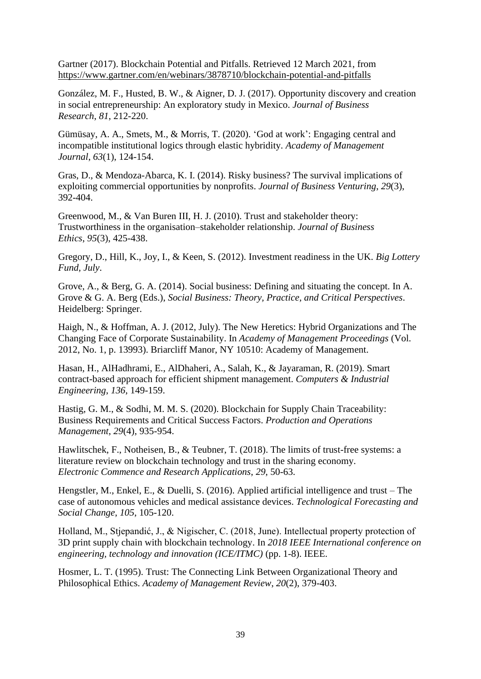Gartner (2017). Blockchain Potential and Pitfalls. Retrieved 12 March 2021, from <https://www.gartner.com/en/webinars/3878710/blockchain-potential-and-pitfalls>

González, M. F., Husted, B. W., & Aigner, D. J. (2017). Opportunity discovery and creation in social entrepreneurship: An exploratory study in Mexico. *Journal of Business Research*, *81*, 212-220.

Gümüsay, A. A., Smets, M., & Morris, T. (2020). 'God at work': Engaging central and incompatible institutional logics through elastic hybridity. *Academy of Management Journal*, *63*(1), 124-154.

Gras, D., & Mendoza-Abarca, K. I. (2014). Risky business? The survival implications of exploiting commercial opportunities by nonprofits. *Journal of Business Venturing*, *29*(3), 392-404.

Greenwood, M., & Van Buren III, H. J. (2010). Trust and stakeholder theory: Trustworthiness in the organisation–stakeholder relationship. *Journal of Business Ethics*, *95*(3), 425-438.

Gregory, D., Hill, K., Joy, I., & Keen, S. (2012). Investment readiness in the UK. *Big Lottery Fund, July*.

Grove, A., & Berg, G. A. (2014). Social business: Defining and situating the concept. In A. Grove & G. A. Berg (Eds.), *Social Business: Theory, Practice, and Critical Perspectives*. Heidelberg: Springer.

Haigh, N., & Hoffman, A. J. (2012, July). The New Heretics: Hybrid Organizations and The Changing Face of Corporate Sustainability. In *Academy of Management Proceedings* (Vol. 2012, No. 1, p. 13993). Briarcliff Manor, NY 10510: Academy of Management.

Hasan, H., AlHadhrami, E., AlDhaheri, A., Salah, K., & Jayaraman, R. (2019). Smart contract-based approach for efficient shipment management. *Computers & Industrial Engineering*, *136*, 149-159.

Hastig, G. M., & Sodhi, M. M. S. (2020). Blockchain for Supply Chain Traceability: Business Requirements and Critical Success Factors. *Production and Operations Management*, *29*(4), 935-954.

Hawlitschek, F., Notheisen, B., & Teubner, T. (2018). The limits of trust-free systems: a literature review on blockchain technology and trust in the sharing economy. *Electronic Commence and Research Applications*, *29*, 50-63.

Hengstler, M., Enkel, E., & Duelli, S. (2016). Applied artificial intelligence and trust – The case of autonomous vehicles and medical assistance devices. *Technological Forecasting and Social Change*, *105*, 105-120.

Holland, M., Stjepandić, J., & Nigischer, C. (2018, June). Intellectual property protection of 3D print supply chain with blockchain technology. In *2018 IEEE International conference on engineering, technology and innovation (ICE/ITMC)* (pp. 1-8). IEEE.

Hosmer, L. T. (1995). Trust: The Connecting Link Between Organizational Theory and Philosophical Ethics. *Academy of Management Review*, *20*(2), 379-403.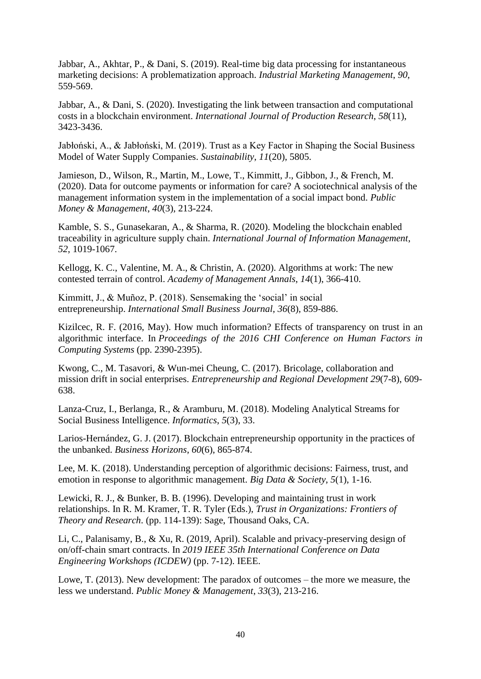Jabbar, A., Akhtar, P., & Dani, S. (2019). Real-time big data processing for instantaneous marketing decisions: A problematization approach. *Industrial Marketing Management*, *90*, 559-569.

Jabbar, A., & Dani, S. (2020). Investigating the link between transaction and computational costs in a blockchain environment. *International Journal of Production Research*, *58*(11), 3423-3436.

Jabłoński, A., & Jabłoński, M. (2019). Trust as a Key Factor in Shaping the Social Business Model of Water Supply Companies. *Sustainability*, *11*(20), 5805.

Jamieson, D., Wilson, R., Martin, M., Lowe, T., Kimmitt, J., Gibbon, J., & French, M. (2020). Data for outcome payments or information for care? A sociotechnical analysis of the management information system in the implementation of a social impact bond. *Public Money & Management*, *40*(3), 213-224.

Kamble, S. S., Gunasekaran, A., & Sharma, R. (2020). Modeling the blockchain enabled traceability in agriculture supply chain. *International Journal of Information Management*, *52*, 1019-1067.

Kellogg, K. C., Valentine, M. A., & Christin, A. (2020). Algorithms at work: The new contested terrain of control. *Academy of Management Annals*, *14*(1), 366-410.

Kimmitt, J., & Muñoz, P. (2018). Sensemaking the 'social' in social entrepreneurship. *International Small Business Journal*, *36*(8), 859-886.

Kizilcec, R. F. (2016, May). How much information? Effects of transparency on trust in an algorithmic interface. In *Proceedings of the 2016 CHI Conference on Human Factors in Computing Systems* (pp. 2390-2395).

Kwong, C., M. Tasavori, & Wun-mei Cheung, C. (2017). Bricolage, collaboration and mission drift in social enterprises. *Entrepreneurship and Regional Development 29*(7-8), 609- 638.

Lanza-Cruz, I., Berlanga, R., & Aramburu, M. (2018). Modeling Analytical Streams for Social Business Intelligence. *Informatics*, *5*(3), 33.

Larios-Hernández, G. J. (2017). Blockchain entrepreneurship opportunity in the practices of the unbanked. *Business Horizons*, *60*(6), 865-874.

Lee, M. K. (2018). Understanding perception of algorithmic decisions: Fairness, trust, and emotion in response to algorithmic management. *Big Data & Society*, *5*(1), 1-16.

Lewicki, R. J., & Bunker, B. B. (1996). Developing and maintaining trust in work relationships. In R. M. Kramer, T. R. Tyler (Eds.), *Trust in Organizations: Frontiers of Theory and Research*. (pp. 114-139): Sage, Thousand Oaks, CA.

Li, C., Palanisamy, B., & Xu, R. (2019, April). Scalable and privacy-preserving design of on/off-chain smart contracts. In *2019 IEEE 35th International Conference on Data Engineering Workshops (ICDEW)* (pp. 7-12). IEEE.

Lowe, T. (2013). New development: The paradox of outcomes – the more we measure, the less we understand. *Public Money & Management*, *33*(3), 213-216.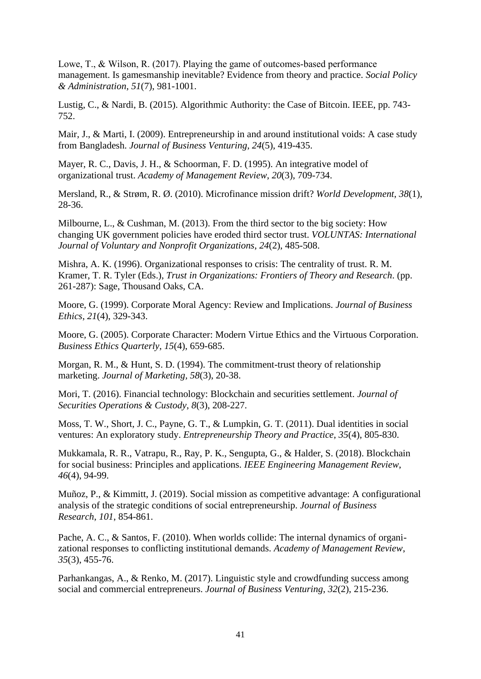Lowe, T., & Wilson, R. (2017). Playing the game of outcomes-based performance management. Is gamesmanship inevitable? Evidence from theory and practice. *Social Policy & Administration*, *51*(7), 981-1001.

Lustig, C., & Nardi, B. (2015). Algorithmic Authority: the Case of Bitcoin. IEEE, pp. 743- 752.

Mair, J., & Marti, I. (2009). Entrepreneurship in and around institutional voids: A case study from Bangladesh. *Journal of Business Venturing*, *24*(5), 419-435.

Mayer, R. C., Davis, J. H., & Schoorman, F. D. (1995). An integrative model of organizational trust. *Academy of Management Review*, *20*(3), 709-734.

Mersland, R., & Strøm, R. Ø. (2010). Microfinance mission drift? *World Development*, *38*(1), 28-36.

Milbourne, L., & Cushman, M. (2013). From the third sector to the big society: How changing UK government policies have eroded third sector trust. *VOLUNTAS: International Journal of Voluntary and Nonprofit Organizations*, *24*(2), 485-508.

Mishra, A. K. (1996). Organizational responses to crisis: The centrality of trust. R. M. Kramer, T. R. Tyler (Eds.), *Trust in Organizations: Frontiers of Theory and Research*. (pp. 261-287): Sage, Thousand Oaks, CA.

Moore, G. (1999). Corporate Moral Agency: Review and Implications. *Journal of Business Ethics*, *21*(4), 329-343.

Moore, G. (2005). Corporate Character: Modern Virtue Ethics and the Virtuous Corporation. *Business Ethics Quarterly*, *15*(4), 659-685.

Morgan, R. M., & Hunt, S. D. (1994). The commitment-trust theory of relationship marketing. *Journal of Marketing, 58*(3), 20-38.

Mori, T. (2016). Financial technology: Blockchain and securities settlement. *Journal of Securities Operations & Custody*, *8*(3), 208-227.

Moss, T. W., Short, J. C., Payne, G. T., & Lumpkin, G. T. (2011). Dual identities in social ventures: An exploratory study. *Entrepreneurship Theory and Practice*, *35*(4), 805-830.

Mukkamala, R. R., Vatrapu, R., Ray, P. K., Sengupta, G., & Halder, S. (2018). Blockchain for social business: Principles and applications. *IEEE Engineering Management Review*, *46*(4), 94-99.

Muñoz, P., & Kimmitt, J. (2019). Social mission as competitive advantage: A configurational analysis of the strategic conditions of social entrepreneurship. *Journal of Business Research*, *101*, 854-861.

Pache, A. C., & Santos, F. (2010). When worlds collide: The internal dynamics of organizational responses to conflicting institutional demands. *Academy of Management Review*, *35*(3), 455-76.

Parhankangas, A., & Renko, M. (2017). Linguistic style and crowdfunding success among social and commercial entrepreneurs. *Journal of Business Venturing*, *32*(2), 215-236.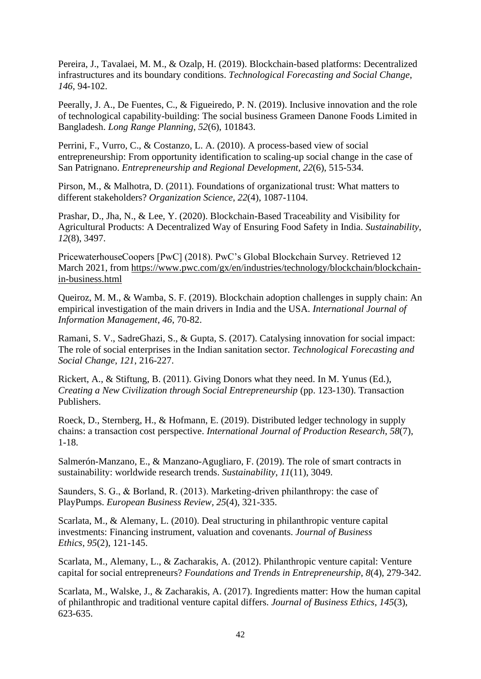Pereira, J., Tavalaei, M. M., & Ozalp, H. (2019). Blockchain-based platforms: Decentralized infrastructures and its boundary conditions. *Technological Forecasting and Social Change*, *146*, 94-102.

Peerally, J. A., De Fuentes, C., & Figueiredo, P. N. (2019). Inclusive innovation and the role of technological capability-building: The social business Grameen Danone Foods Limited in Bangladesh. *Long Range Planning*, *52*(6), 101843.

Perrini, F., Vurro, C., & Costanzo, L. A. (2010). A process-based view of social entrepreneurship: From opportunity identification to scaling-up social change in the case of San Patrignano. *Entrepreneurship and Regional Development*, *22*(6), 515-534.

Pirson, M., & Malhotra, D. (2011). Foundations of organizational trust: What matters to different stakeholders? *Organization Science*, *22*(4), 1087-1104.

Prashar, D., Jha, N., & Lee, Y. (2020). Blockchain-Based Traceability and Visibility for Agricultural Products: A Decentralized Way of Ensuring Food Safety in India. *Sustainability*, *12*(8), 3497.

PricewaterhouseCoopers [PwC] (2018). PwC's Global Blockchain Survey. Retrieved 12 March 2021, from [https://www.pwc.com/gx/en/industries/technology/blockchain/blockchain](https://www.pwc.com/gx/en/industries/technology/blockchain/blockchain-in-business.html)[in-business.html](https://www.pwc.com/gx/en/industries/technology/blockchain/blockchain-in-business.html)

Queiroz, M. M., & Wamba, S. F. (2019). Blockchain adoption challenges in supply chain: An empirical investigation of the main drivers in India and the USA. *International Journal of Information Management*, *46*, 70-82.

Ramani, S. V., SadreGhazi, S., & Gupta, S. (2017). Catalysing innovation for social impact: The role of social enterprises in the Indian sanitation sector. *Technological Forecasting and Social Change*, *121*, 216-227.

Rickert, A., & Stiftung, B. (2011). Giving Donors what they need. In M. Yunus (Ed.), *Creating a New Civilization through Social Entrepreneurship* (pp. 123-130). Transaction Publishers.

Roeck, D., Sternberg, H., & Hofmann, E. (2019). Distributed ledger technology in supply chains: a transaction cost perspective. *International Journal of Production Research*, *58*(7), 1-18.

Salmerón-Manzano, E., & Manzano-Agugliaro, F. (2019). The role of smart contracts in sustainability: worldwide research trends. *Sustainability*, *11*(11), 3049.

Saunders, S. G., & Borland, R. (2013). Marketing‐driven philanthropy: the case of PlayPumps. *European Business Review, 25*(4), 321-335.

Scarlata, M., & Alemany, L. (2010). Deal structuring in philanthropic venture capital investments: Financing instrument, valuation and covenants. *Journal of Business Ethics*, *95*(2), 121-145.

Scarlata, M., Alemany, L., & Zacharakis, A. (2012). Philanthropic venture capital: Venture capital for social entrepreneurs? *Foundations and Trends in Entrepreneurship*, *8*(4), 279-342.

Scarlata, M., Walske, J., & Zacharakis, A. (2017). Ingredients matter: How the human capital of philanthropic and traditional venture capital differs. *Journal of Business Ethics*, *145*(3), 623-635.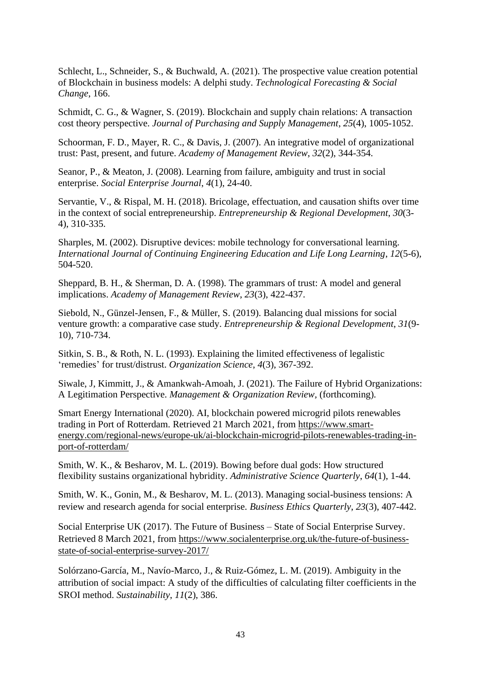Schlecht, L., Schneider, S., & Buchwald, A. (2021). The prospective value creation potential of Blockchain in business models: A delphi study. *Technological Forecasting & Social Change*, 166.

Schmidt, C. G., & Wagner, S. (2019). Blockchain and supply chain relations: A transaction cost theory perspective. *Journal of Purchasing and Supply Management*, *25*(4), 1005-1052.

Schoorman, F. D., Mayer, R. C., & Davis, J. (2007). An integrative model of organizational trust: Past, present, and future. *Academy of Management Review*, *32*(2), 344-354.

Seanor, P., & Meaton, J. (2008). Learning from failure, ambiguity and trust in social enterprise. *Social Enterprise Journal*, *4*(1), 24-40.

Servantie, V., & Rispal, M. H. (2018). Bricolage, effectuation, and causation shifts over time in the context of social entrepreneurship. *Entrepreneurship & Regional Development*, *30*(3- 4), 310-335.

Sharples, M. (2002). Disruptive devices: mobile technology for conversational learning. *International Journal of Continuing Engineering Education and Life Long Learning*, *12*(5-6), 504-520.

Sheppard, B. H., & Sherman, D. A. (1998). The grammars of trust: A model and general implications. *Academy of Management Review*, *23*(3), 422-437.

Siebold, N., Günzel-Jensen, F., & Müller, S. (2019). Balancing dual missions for social venture growth: a comparative case study. *Entrepreneurship & Regional Development*, *31*(9- 10), 710-734.

Sitkin, S. B., & Roth, N. L. (1993). Explaining the limited effectiveness of legalistic 'remedies' for trust/distrust. *Organization Science*, *4*(3), 367-392.

Siwale, J, Kimmitt, J., & Amankwah-Amoah, J. (2021). The Failure of Hybrid Organizations: A Legitimation Perspective. *Management & Organization Review,* (forthcoming)*.*

Smart Energy International (2020). AI, blockchain powered microgrid pilots renewables trading in Port of Rotterdam. Retrieved 21 March 2021, from [https://www.smart](https://www.smart-energy.com/regional-news/europe-uk/ai-blockchain-microgrid-pilots-renewables-trading-in-port-of-rotterdam/)[energy.com/regional-news/europe-uk/ai-blockchain-microgrid-pilots-renewables-trading-in](https://www.smart-energy.com/regional-news/europe-uk/ai-blockchain-microgrid-pilots-renewables-trading-in-port-of-rotterdam/)[port-of-rotterdam/](https://www.smart-energy.com/regional-news/europe-uk/ai-blockchain-microgrid-pilots-renewables-trading-in-port-of-rotterdam/)

Smith, W. K., & Besharov, M. L. (2019). Bowing before dual gods: How structured flexibility sustains organizational hybridity. *Administrative Science Quarterly*, *64*(1), 1-44.

Smith, W. K., Gonin, M., & Besharov, M. L. (2013). Managing social-business tensions: A review and research agenda for social enterprise. *Business Ethics Quarterly*, *23*(3), 407-442.

Social Enterprise UK (2017). The Future of Business – State of Social Enterprise Survey. Retrieved 8 March 2021, from [https://www.socialenterprise.org.uk/the-future-of-business](https://www.socialenterprise.org.uk/the-future-of-business-state-of-social-enterprise-survey-2017/)[state-of-social-enterprise-survey-2017/](https://www.socialenterprise.org.uk/the-future-of-business-state-of-social-enterprise-survey-2017/)

Solórzano-García, M., Navío-Marco, J., & Ruiz-Gómez, L. M. (2019). Ambiguity in the attribution of social impact: A study of the difficulties of calculating filter coefficients in the SROI method. *Sustainability*, *11*(2), 386.